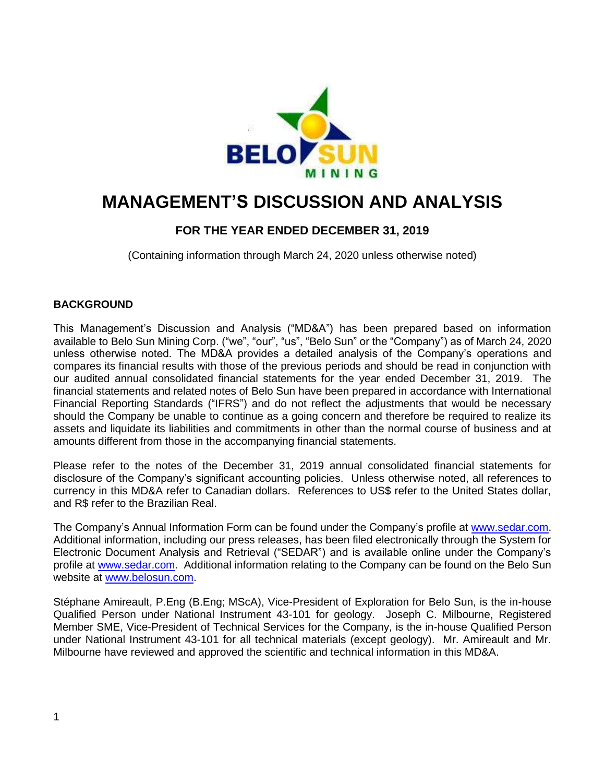

# **MANAGEMENT'S DISCUSSION AND ANALYSIS**

# **FOR THE YEAR ENDED DECEMBER 31, 2019**

(Containing information through March 24, 2020 unless otherwise noted)

# **BACKGROUND**

This Management's Discussion and Analysis ("MD&A") has been prepared based on information available to Belo Sun Mining Corp. ("we", "our", "us", "Belo Sun" or the "Company") as of March 24, 2020 unless otherwise noted. The MD&A provides a detailed analysis of the Company's operations and compares its financial results with those of the previous periods and should be read in conjunction with our audited annual consolidated financial statements for the year ended December 31, 2019. The financial statements and related notes of Belo Sun have been prepared in accordance with International Financial Reporting Standards ("IFRS") and do not reflect the adjustments that would be necessary should the Company be unable to continue as a going concern and therefore be required to realize its assets and liquidate its liabilities and commitments in other than the normal course of business and at amounts different from those in the accompanying financial statements.

Please refer to the notes of the December 31, 2019 annual consolidated financial statements for disclosure of the Company's significant accounting policies. Unless otherwise noted, all references to currency in this MD&A refer to Canadian dollars. References to US\$ refer to the United States dollar, and R\$ refer to the Brazilian Real.

The Company's Annual Information Form can be found under the Company's profile at [www.sedar.com.](http://www.sedar.com/) Additional information, including our press releases, has been filed electronically through the System for Electronic Document Analysis and Retrieval ("SEDAR") and is available online under the Company's profile at [www.sedar.com.](http://www.sedar.com/) Additional information relating to the Company can be found on the Belo Sun website at [www.belosun.com.](http://www.belosun.com/)

Stéphane Amireault, P.Eng (B.Eng; MScA), Vice-President of Exploration for Belo Sun, is the in-house Qualified Person under National Instrument 43-101 for geology. Joseph C. Milbourne, Registered Member SME, Vice-President of Technical Services for the Company, is the in-house Qualified Person under National Instrument 43-101 for all technical materials (except geology). Mr. Amireault and Mr. Milbourne have reviewed and approved the scientific and technical information in this MD&A.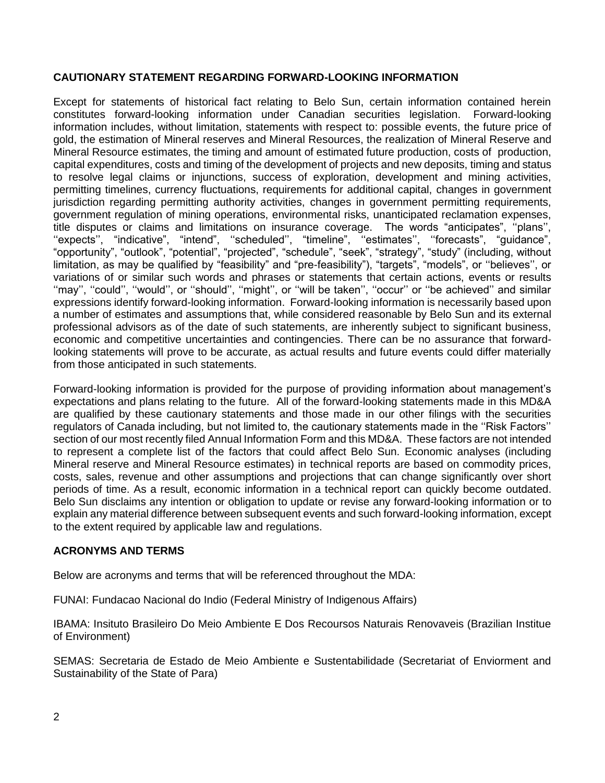# **CAUTIONARY STATEMENT REGARDING FORWARD-LOOKING INFORMATION**

Except for statements of historical fact relating to Belo Sun, certain information contained herein constitutes forward-looking information under Canadian securities legislation. Forward-looking information includes, without limitation, statements with respect to: possible events, the future price of gold, the estimation of Mineral reserves and Mineral Resources, the realization of Mineral Reserve and Mineral Resource estimates, the timing and amount of estimated future production, costs of production, capital expenditures, costs and timing of the development of projects and new deposits, timing and status to resolve legal claims or injunctions, success of exploration, development and mining activities, permitting timelines, currency fluctuations, requirements for additional capital, changes in government jurisdiction regarding permitting authority activities, changes in government permitting requirements, government regulation of mining operations, environmental risks, unanticipated reclamation expenses, title disputes or claims and limitations on insurance coverage. The words "anticipates", ''plans'', "expects", "indicative", "intend", "scheduled", "timeline", "estimates", "forecasts", "guidance", "opportunity", "outlook", "potential", "projected", "schedule", "seek", "strategy", "study" (including, without limitation, as may be qualified by "feasibility" and "pre-feasibility"), "targets", "models", or ''believes'', or variations of or similar such words and phrases or statements that certain actions, events or results "may", "could", "would", or "should", "might", or "will be taken", "occur" or "be achieved" and similar expressions identify forward-looking information. Forward-looking information is necessarily based upon a number of estimates and assumptions that, while considered reasonable by Belo Sun and its external professional advisors as of the date of such statements, are inherently subject to significant business, economic and competitive uncertainties and contingencies. There can be no assurance that forwardlooking statements will prove to be accurate, as actual results and future events could differ materially from those anticipated in such statements.

Forward-looking information is provided for the purpose of providing information about management's expectations and plans relating to the future. All of the forward-looking statements made in this MD&A are qualified by these cautionary statements and those made in our other filings with the securities regulators of Canada including, but not limited to, the cautionary statements made in the ''Risk Factors'' section of our most recently filed Annual Information Form and this MD&A. These factors are not intended to represent a complete list of the factors that could affect Belo Sun. Economic analyses (including Mineral reserve and Mineral Resource estimates) in technical reports are based on commodity prices, costs, sales, revenue and other assumptions and projections that can change significantly over short periods of time. As a result, economic information in a technical report can quickly become outdated. Belo Sun disclaims any intention or obligation to update or revise any forward-looking information or to explain any material difference between subsequent events and such forward-looking information, except to the extent required by applicable law and regulations.

# **ACRONYMS AND TERMS**

Below are acronyms and terms that will be referenced throughout the MDA:

FUNAI: Fundacao Nacional do Indio (Federal Ministry of Indigenous Affairs)

IBAMA: Insituto Brasileiro Do Meio Ambiente E Dos Recoursos Naturais Renovaveis (Brazilian Institue of Environment)

SEMAS: Secretaria de Estado de Meio Ambiente e Sustentabilidade (Secretariat of Enviorment and Sustainability of the State of Para)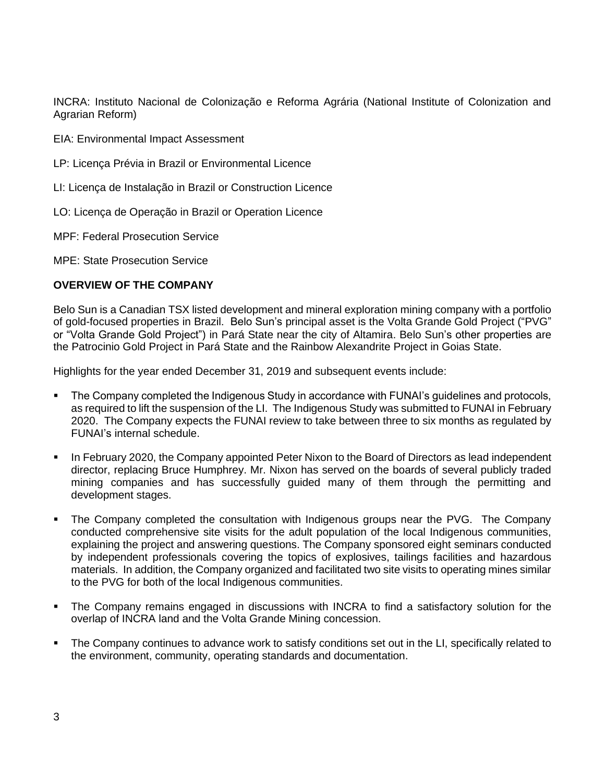INCRA: Instituto Nacional de Colonização e Reforma Agrária (National Institute of Colonization and Agrarian Reform)

EIA: Environmental Impact Assessment

- LP: Licença Prévia in Brazil or Environmental Licence
- LI: Licença de Instalação in Brazil or Construction Licence
- LO: Licença de Operação in Brazil or Operation Licence
- MPF: Federal Prosecution Service

MPE: State Prosecution Service

# **OVERVIEW OF THE COMPANY**

Belo Sun is a Canadian TSX listed development and mineral exploration mining company with a portfolio of gold-focused properties in Brazil. Belo Sun's principal asset is the Volta Grande Gold Project ("PVG" or "Volta Grande Gold Project") in Pará State near the city of Altamira. Belo Sun's other properties are the Patrocinio Gold Project in Pará State and the Rainbow Alexandrite Project in Goias State.

Highlights for the year ended December 31, 2019 and subsequent events include:

- The Company completed the Indigenous Study in accordance with FUNAI's guidelines and protocols, as required to lift the suspension of the LI. The Indigenous Study was submitted to FUNAI in February 2020. The Company expects the FUNAI review to take between three to six months as regulated by FUNAI's internal schedule.
- **In February 2020, the Company appointed Peter Nixon to the Board of Directors as lead independent** director, replacing Bruce Humphrey. Mr. Nixon has served on the boards of several publicly traded mining companies and has successfully guided many of them through the permitting and development stages.
- The Company completed the consultation with Indigenous groups near the PVG. The Company conducted comprehensive site visits for the adult population of the local Indigenous communities, explaining the project and answering questions. The Company sponsored eight seminars conducted by independent professionals covering the topics of explosives, tailings facilities and hazardous materials. In addition, the Company organized and facilitated two site visits to operating mines similar to the PVG for both of the local Indigenous communities.
- The Company remains engaged in discussions with INCRA to find a satisfactory solution for the overlap of INCRA land and the Volta Grande Mining concession.
- The Company continues to advance work to satisfy conditions set out in the LI, specifically related to the environment, community, operating standards and documentation.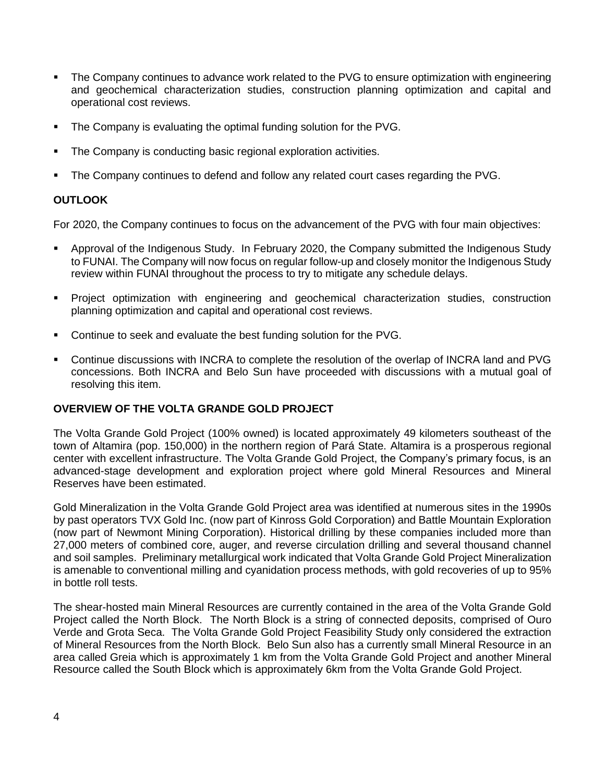- **•** The Company continues to advance work related to the PVG to ensure optimization with engineering and geochemical characterization studies, construction planning optimization and capital and operational cost reviews.
- The Company is evaluating the optimal funding solution for the PVG.
- The Company is conducting basic regional exploration activities.
- The Company continues to defend and follow any related court cases regarding the PVG.

# **OUTLOOK**

For 2020, the Company continues to focus on the advancement of the PVG with four main objectives:

- Approval of the Indigenous Study. In February 2020, the Company submitted the Indigenous Study to FUNAI. The Company will now focus on regular follow-up and closely monitor the Indigenous Study review within FUNAI throughout the process to try to mitigate any schedule delays.
- Project optimization with engineering and geochemical characterization studies, construction planning optimization and capital and operational cost reviews.
- Continue to seek and evaluate the best funding solution for the PVG.
- Continue discussions with INCRA to complete the resolution of the overlap of INCRA land and PVG concessions. Both INCRA and Belo Sun have proceeded with discussions with a mutual goal of resolving this item.

# **OVERVIEW OF THE VOLTA GRANDE GOLD PROJECT**

The Volta Grande Gold Project (100% owned) is located approximately 49 kilometers southeast of the town of Altamira (pop. 150,000) in the northern region of Pará State. Altamira is a prosperous regional center with excellent infrastructure. The Volta Grande Gold Project, the Company's primary focus, is an advanced-stage development and exploration project where gold Mineral Resources and Mineral Reserves have been estimated.

Gold Mineralization in the Volta Grande Gold Project area was identified at numerous sites in the 1990s by past operators TVX Gold Inc. (now part of Kinross Gold Corporation) and Battle Mountain Exploration (now part of Newmont Mining Corporation). Historical drilling by these companies included more than 27,000 meters of combined core, auger, and reverse circulation drilling and several thousand channel and soil samples. Preliminary metallurgical work indicated that Volta Grande Gold Project Mineralization is amenable to conventional milling and cyanidation process methods, with gold recoveries of up to 95% in bottle roll tests.

The shear-hosted main Mineral Resources are currently contained in the area of the Volta Grande Gold Project called the North Block. The North Block is a string of connected deposits, comprised of Ouro Verde and Grota Seca. The Volta Grande Gold Project Feasibility Study only considered the extraction of Mineral Resources from the North Block. Belo Sun also has a currently small Mineral Resource in an area called Greia which is approximately 1 km from the Volta Grande Gold Project and another Mineral Resource called the South Block which is approximately 6km from the Volta Grande Gold Project.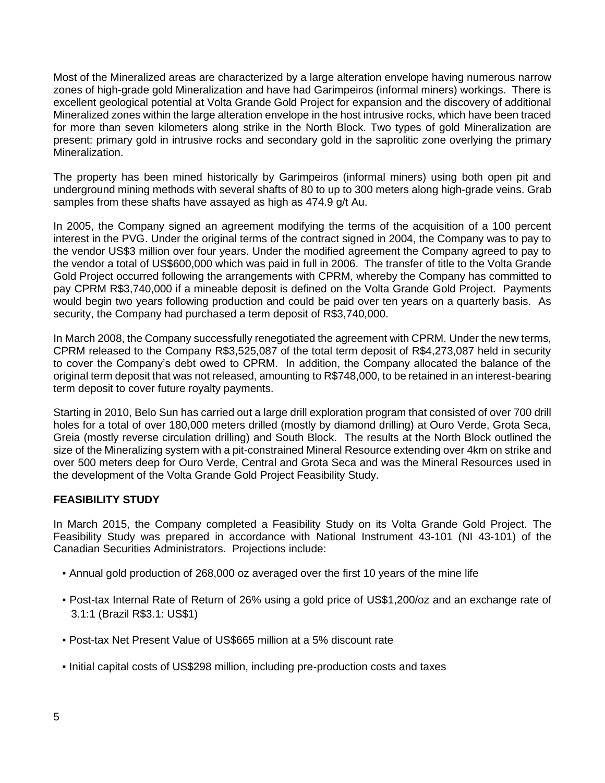Most of the Mineralized areas are characterized by a large alteration envelope having numerous narrow zones of high-grade gold Mineralization and have had Garimpeiros (informal miners) workings. There is excellent geological potential at Volta Grande Gold Project for expansion and the discovery of additional Mineralized zones within the large alteration envelope in the host intrusive rocks, which have been traced for more than seven kilometers along strike in the North Block. Two types of gold Mineralization are present: primary gold in intrusive rocks and secondary gold in the saprolitic zone overlying the primary Mineralization.

The property has been mined historically by Garimpeiros (informal miners) using both open pit and underground mining methods with several shafts of 80 to up to 300 meters along high-grade veins. Grab samples from these shafts have assayed as high as 474.9 g/t Au.

In 2005, the Company signed an agreement modifying the terms of the acquisition of a 100 percent interest in the PVG. Under the original terms of the contract signed in 2004, the Company was to pay to the vendor US\$3 million over four years. Under the modified agreement the Company agreed to pay to the vendor a total of US\$600,000 which was paid in full in 2006. The transfer of title to the Volta Grande Gold Project occurred following the arrangements with CPRM, whereby the Company has committed to pay CPRM R\$3,740,000 if a mineable deposit is defined on the Volta Grande Gold Project. Payments would begin two years following production and could be paid over ten years on a quarterly basis. As security, the Company had purchased a term deposit of R\$3,740,000.

In March 2008, the Company successfully renegotiated the agreement with CPRM. Under the new terms, CPRM released to the Company R\$3,525,087 of the total term deposit of R\$4,273,087 held in security to cover the Company's debt owed to CPRM. In addition, the Company allocated the balance of the original term deposit that was not released, amounting to R\$748,000, to be retained in an interest-bearing term deposit to cover future royalty payments.

Starting in 2010, Belo Sun has carried out a large drill exploration program that consisted of over 700 drill holes for a total of over 180,000 meters drilled (mostly by diamond drilling) at Ouro Verde, Grota Seca, Greia (mostly reverse circulation drilling) and South Block. The results at the North Block outlined the size of the Mineralizing system with a pit-constrained Mineral Resource extending over 4km on strike and over 500 meters deep for Ouro Verde, Central and Grota Seca and was the Mineral Resources used in the development of the Volta Grande Gold Project Feasibility Study.

# **FEASIBILITY STUDY**

In March 2015, the Company completed a Feasibility Study on its Volta Grande Gold Project. The Feasibility Study was prepared in accordance with National Instrument 43-101 (NI 43-101) of the Canadian Securities Administrators. Projections include:

- Annual gold production of 268,000 oz averaged over the first 10 years of the mine life
- Post-tax Internal Rate of Return of 26% using a gold price of US\$1,200/oz and an exchange rate of 3.1:1 (Brazil R\$3.1: US\$1)
- Post-tax Net Present Value of US\$665 million at a 5% discount rate
- Initial capital costs of US\$298 million, including pre-production costs and taxes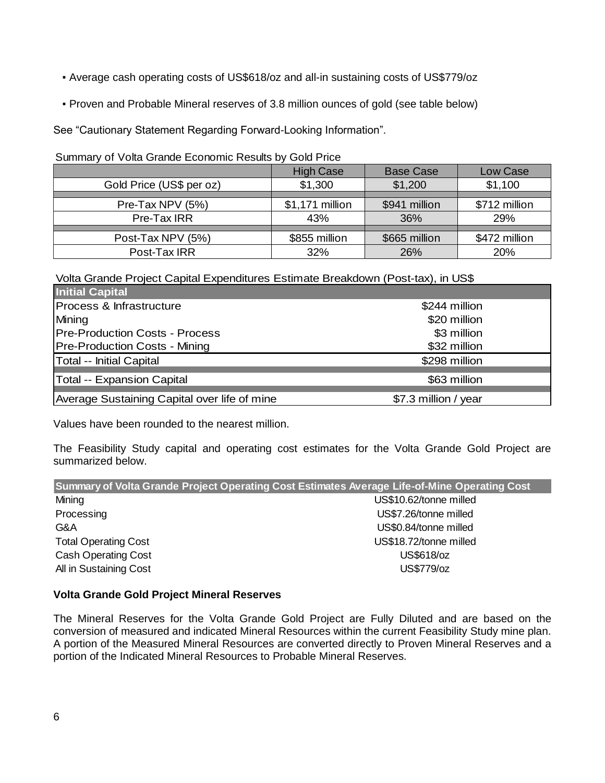- Average cash operating costs of US\$618/oz and all-in sustaining costs of US\$779/oz
- Proven and Probable Mineral reserves of 3.8 million ounces of gold (see table below)

See "Cautionary Statement Regarding Forward-Looking Information".

Summary of Volta Grande Economic Results by Gold Price

|                          | <b>High Case</b> | <b>Base Case</b> | Low Case      |
|--------------------------|------------------|------------------|---------------|
| Gold Price (US\$ per oz) | \$1,300          | \$1,200          | \$1,100       |
|                          |                  |                  |               |
| Pre-Tax NPV (5%)         | \$1,171 million  | \$941 million    | \$712 million |
| Pre-Tax IRR              | 43%              | 36%              | 29%           |
|                          |                  |                  |               |
| Post-Tax NPV (5%)        | \$855 million    | \$665 million    | \$472 million |
| Post-Tax IRR             | 32%              | 26%              | 20%           |

Volta Grande Project Capital Expenditures Estimate Breakdown (Post-tax), in US\$

| <b>Initial Capital</b>                       |                      |
|----------------------------------------------|----------------------|
| Process & Infrastructure                     | \$244 million        |
| Mining                                       | \$20 million         |
| <b>Pre-Production Costs - Process</b>        | \$3 million          |
| <b>Pre-Production Costs - Mining</b>         | \$32 million         |
| Total -- Initial Capital                     | \$298 million        |
| Total -- Expansion Capital                   | \$63 million         |
| Average Sustaining Capital over life of mine | \$7.3 million / year |

Values have been rounded to the nearest million.

The Feasibility Study capital and operating cost estimates for the Volta Grande Gold Project are summarized below.

| Summary of Volta Grande Project Operating Cost Estimates Average Life-of-Mine Operating Cost |
|----------------------------------------------------------------------------------------------|
| US\$10.62/tonne milled                                                                       |
| US\$7.26/tonne milled                                                                        |
| US\$0.84/tonne milled                                                                        |
| US\$18.72/tonne milled                                                                       |
| US\$618/oz                                                                                   |
| US\$779/oz                                                                                   |
|                                                                                              |

# **Volta Grande Gold Project Mineral Reserves**

The Mineral Reserves for the Volta Grande Gold Project are Fully Diluted and are based on the conversion of measured and indicated Mineral Resources within the current Feasibility Study mine plan. A portion of the Measured Mineral Resources are converted directly to Proven Mineral Reserves and a portion of the Indicated Mineral Resources to Probable Mineral Reserves.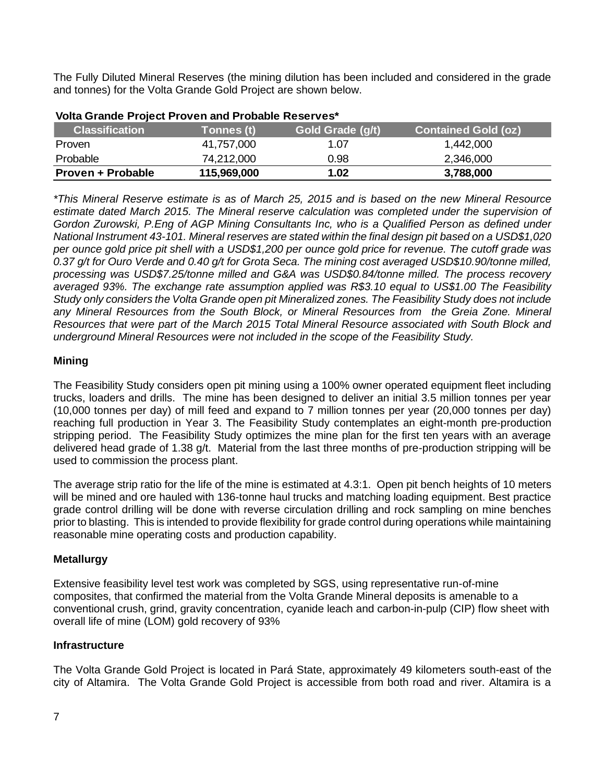The Fully Diluted Mineral Reserves (the mining dilution has been included and considered in the grade and tonnes) for the Volta Grande Gold Project are shown below.

| <b>Classification</b> | Tonnes (t)  | Gold Grade (g/t) | <b>Contained Gold (oz)</b> |
|-----------------------|-------------|------------------|----------------------------|
| <b>Proven</b>         | 41,757,000  | 1.07             | 1.442.000                  |
| Probable              | 74,212,000  | 0.98             | 2,346,000                  |
| Proven + Probable     | 115,969,000 | 1.02             | 3,788,000                  |

### **Volta Grande Project Proven and Probable Reserves\***

*\*This Mineral Reserve estimate is as of March 25, 2015 and is based on the new Mineral Resource estimate dated March 2015. The Mineral reserve calculation was completed under the supervision of Gordon Zurowski, P.Eng of AGP Mining Consultants Inc, who is a Qualified Person as defined under National Instrument 43-101. Mineral reserves are stated within the final design pit based on a USD\$1,020 per ounce gold price pit shell with a USD\$1,200 per ounce gold price for revenue. The cutoff grade was 0.37 g/t for Ouro Verde and 0.40 g/t for Grota Seca. The mining cost averaged USD\$10.90/tonne milled, processing was USD\$7.25/tonne milled and G&A was USD\$0.84/tonne milled. The process recovery averaged 93%. The exchange rate assumption applied was R\$3.10 equal to US\$1.00 The Feasibility Study only considers the Volta Grande open pit Mineralized zones. The Feasibility Study does not include any Mineral Resources from the South Block, or Mineral Resources from the Greia Zone. Mineral Resources that were part of the March 2015 Total Mineral Resource associated with South Block and underground Mineral Resources were not included in the scope of the Feasibility Study.* 

# **Mining**

The Feasibility Study considers open pit mining using a 100% owner operated equipment fleet including trucks, loaders and drills. The mine has been designed to deliver an initial 3.5 million tonnes per year (10,000 tonnes per day) of mill feed and expand to 7 million tonnes per year (20,000 tonnes per day) reaching full production in Year 3. The Feasibility Study contemplates an eight-month pre-production stripping period. The Feasibility Study optimizes the mine plan for the first ten years with an average delivered head grade of 1.38 g/t. Material from the last three months of pre-production stripping will be used to commission the process plant.

The average strip ratio for the life of the mine is estimated at 4.3:1. Open pit bench heights of 10 meters will be mined and ore hauled with 136-tonne haul trucks and matching loading equipment. Best practice grade control drilling will be done with reverse circulation drilling and rock sampling on mine benches prior to blasting. This is intended to provide flexibility for grade control during operations while maintaining reasonable mine operating costs and production capability.

# **Metallurgy**

Extensive feasibility level test work was completed by SGS, using representative run-of-mine composites, that confirmed the material from the Volta Grande Mineral deposits is amenable to a conventional crush, grind, gravity concentration, cyanide leach and carbon-in-pulp (CIP) flow sheet with overall life of mine (LOM) gold recovery of 93%

# **Infrastructure**

The Volta Grande Gold Project is located in Pará State, approximately 49 kilometers south-east of the city of Altamira. The Volta Grande Gold Project is accessible from both road and river. Altamira is a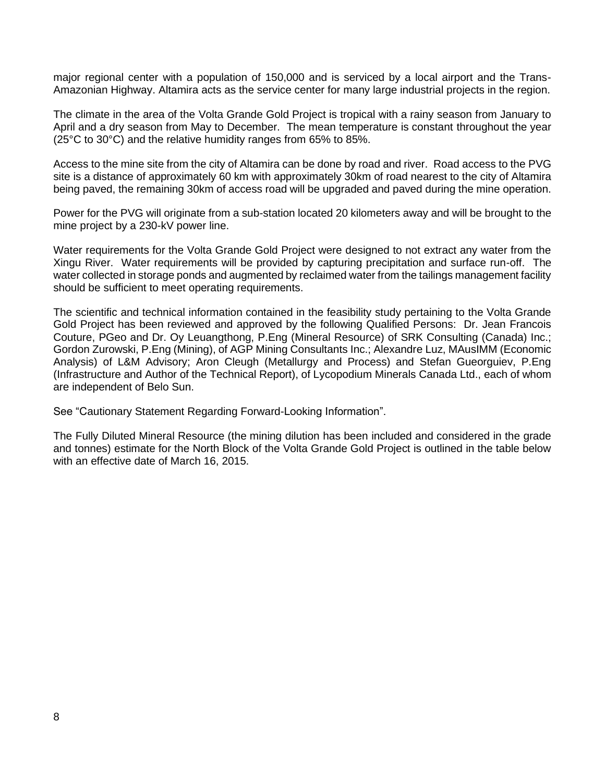major regional center with a population of 150,000 and is serviced by a local airport and the Trans-Amazonian Highway. Altamira acts as the service center for many large industrial projects in the region.

The climate in the area of the Volta Grande Gold Project is tropical with a rainy season from January to April and a dry season from May to December. The mean temperature is constant throughout the year (25°C to 30°C) and the relative humidity ranges from 65% to 85%.

Access to the mine site from the city of Altamira can be done by road and river. Road access to the PVG site is a distance of approximately 60 km with approximately 30km of road nearest to the city of Altamira being paved, the remaining 30km of access road will be upgraded and paved during the mine operation.

Power for the PVG will originate from a sub-station located 20 kilometers away and will be brought to the mine project by a 230-kV power line.

Water requirements for the Volta Grande Gold Project were designed to not extract any water from the Xingu River. Water requirements will be provided by capturing precipitation and surface run-off. The water collected in storage ponds and augmented by reclaimed water from the tailings management facility should be sufficient to meet operating requirements.

The scientific and technical information contained in the feasibility study pertaining to the Volta Grande Gold Project has been reviewed and approved by the following Qualified Persons: Dr. Jean Francois Couture, PGeo and Dr. Oy Leuangthong, P.Eng (Mineral Resource) of SRK Consulting (Canada) Inc.; Gordon Zurowski, P.Eng (Mining), of AGP Mining Consultants Inc.; Alexandre Luz, MAusIMM (Economic Analysis) of L&M Advisory; Aron Cleugh (Metallurgy and Process) and Stefan Gueorguiev, P.Eng (Infrastructure and Author of the Technical Report), of Lycopodium Minerals Canada Ltd., each of whom are independent of Belo Sun.

See "Cautionary Statement Regarding Forward-Looking Information".

The Fully Diluted Mineral Resource (the mining dilution has been included and considered in the grade and tonnes) estimate for the North Block of the Volta Grande Gold Project is outlined in the table below with an effective date of March 16, 2015.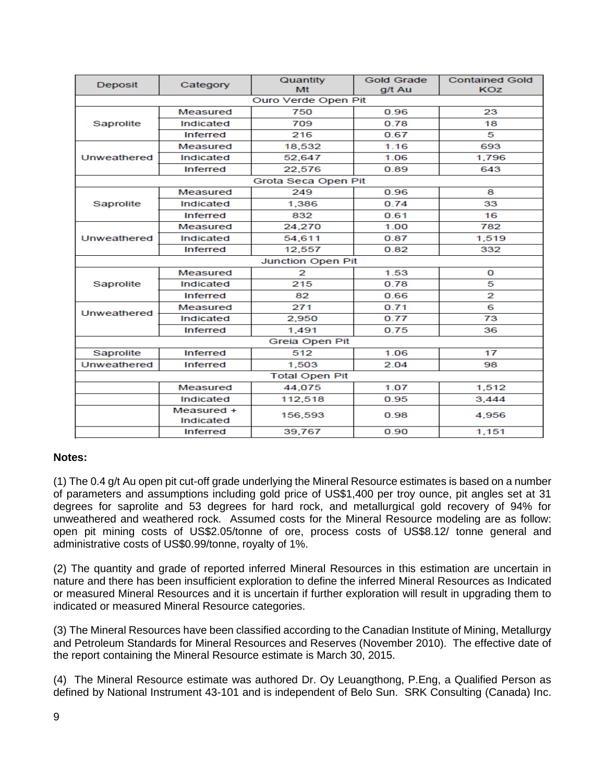| Deposit     | Category                | Quantity<br>Mt           | <b>Gold Grade</b><br>g/t Au | <b>Contained Gold</b><br>KOZ |  |
|-------------|-------------------------|--------------------------|-----------------------------|------------------------------|--|
|             |                         | Ouro Verde Open Pit      |                             |                              |  |
|             | Measured                | 750                      | 0.96                        | 23                           |  |
| Saprolite   | Indicated               | 709                      | 0.78                        | 18                           |  |
|             | <b>Inferred</b>         | 216                      | 0.67                        | 5                            |  |
|             | Measured                | 18,532                   | 1.16                        | 693                          |  |
| Unweathered | Indicated               | 52,647                   | 1.06                        | 1,796                        |  |
|             | <b>Inferred</b>         | 22,576                   | 0.89                        | 643                          |  |
|             |                         | Grota Seca Open Pit      |                             |                              |  |
|             | Measured                | 249                      | 0.96                        | 8                            |  |
| Saprolite   | Indicated               | 1,386                    | 0.74                        | 33                           |  |
|             | Inferred                | 832                      | 0.61                        | 16                           |  |
|             | Measured                | 24,270                   | 1.00                        | 782                          |  |
| Unweathered | Indicated               | 54,611                   | 0.87                        | 1,519                        |  |
|             | <b>Inferred</b>         | 12,557                   | 0.82                        | 332                          |  |
|             |                         | <b>Junction Open Pit</b> |                             |                              |  |
|             | Measured                | 2                        | 1.53                        | О                            |  |
| Saprolite   | Indicated               | 215                      | 0.78                        | 5                            |  |
|             | <b>Inferred</b>         | 82                       | 0.66                        | 2                            |  |
| Unweathered | Measured                | 271                      | 0.71                        | 6                            |  |
|             | Indicated               | 2.950                    | 0.77                        | 73                           |  |
|             | <b>Inferred</b>         | 1,491                    | 0.75                        | 36                           |  |
|             |                         | Greia Open Pit           |                             |                              |  |
| Saprolite   | <b>Inferred</b>         | 512                      | 1.06                        | 17                           |  |
| Unweathered | <b>Inferred</b>         | 1,503                    | 2.04                        | 98                           |  |
|             |                         | <b>Total Open Pit</b>    |                             |                              |  |
|             | Measured                | 44,075                   | 1.07                        | 1,512                        |  |
|             | Indicated               | 112,518                  | 0.95                        | 3,444                        |  |
|             | Measured +<br>Indicated | 156,593                  | 0.98                        | 4,956                        |  |
|             | <b>Inferred</b>         | 39,767                   | 0.90                        | 1,151                        |  |

# **Notes:**

(1) The 0.4 g/t Au open pit cut-off grade underlying the Mineral Resource estimates is based on a number of parameters and assumptions including gold price of US\$1,400 per troy ounce, pit angles set at 31 degrees for saprolite and 53 degrees for hard rock, and metallurgical gold recovery of 94% for unweathered and weathered rock. Assumed costs for the Mineral Resource modeling are as follow: open pit mining costs of US\$2.05/tonne of ore, process costs of US\$8.12/ tonne general and administrative costs of US\$0.99/tonne, royalty of 1%.

(2) The quantity and grade of reported inferred Mineral Resources in this estimation are uncertain in nature and there has been insufficient exploration to define the inferred Mineral Resources as Indicated or measured Mineral Resources and it is uncertain if further exploration will result in upgrading them to indicated or measured Mineral Resource categories.

(3) The Mineral Resources have been classified according to the Canadian Institute of Mining, Metallurgy and Petroleum Standards for Mineral Resources and Reserves (November 2010). The effective date of the report containing the Mineral Resource estimate is March 30, 2015.

(4) The Mineral Resource estimate was authored Dr. Oy Leuangthong, P.Eng, a Qualified Person as defined by National Instrument 43-101 and is independent of Belo Sun. SRK Consulting (Canada) Inc.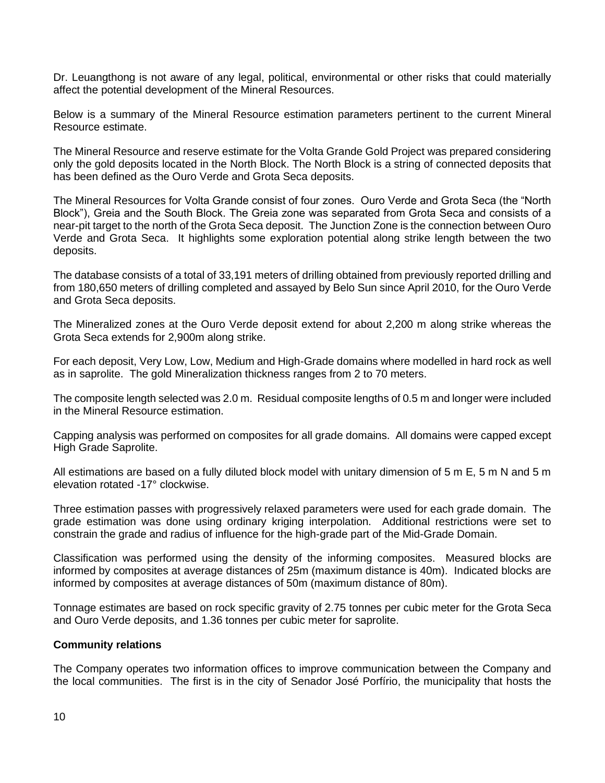Dr. Leuangthong is not aware of any legal, political, environmental or other risks that could materially affect the potential development of the Mineral Resources.

Below is a summary of the Mineral Resource estimation parameters pertinent to the current Mineral Resource estimate.

The Mineral Resource and reserve estimate for the Volta Grande Gold Project was prepared considering only the gold deposits located in the North Block. The North Block is a string of connected deposits that has been defined as the Ouro Verde and Grota Seca deposits.

The Mineral Resources for Volta Grande consist of four zones. Ouro Verde and Grota Seca (the "North Block"), Greia and the South Block. The Greia zone was separated from Grota Seca and consists of a near-pit target to the north of the Grota Seca deposit. The Junction Zone is the connection between Ouro Verde and Grota Seca. It highlights some exploration potential along strike length between the two deposits.

The database consists of a total of 33,191 meters of drilling obtained from previously reported drilling and from 180,650 meters of drilling completed and assayed by Belo Sun since April 2010, for the Ouro Verde and Grota Seca deposits.

The Mineralized zones at the Ouro Verde deposit extend for about 2,200 m along strike whereas the Grota Seca extends for 2,900m along strike.

For each deposit, Very Low, Low, Medium and High-Grade domains where modelled in hard rock as well as in saprolite. The gold Mineralization thickness ranges from 2 to 70 meters.

The composite length selected was 2.0 m. Residual composite lengths of 0.5 m and longer were included in the Mineral Resource estimation.

Capping analysis was performed on composites for all grade domains. All domains were capped except High Grade Saprolite.

All estimations are based on a fully diluted block model with unitary dimension of 5 m E, 5 m N and 5 m elevation rotated -17° clockwise.

Three estimation passes with progressively relaxed parameters were used for each grade domain. The grade estimation was done using ordinary kriging interpolation. Additional restrictions were set to constrain the grade and radius of influence for the high-grade part of the Mid-Grade Domain.

Classification was performed using the density of the informing composites. Measured blocks are informed by composites at average distances of 25m (maximum distance is 40m). Indicated blocks are informed by composites at average distances of 50m (maximum distance of 80m).

Tonnage estimates are based on rock specific gravity of 2.75 tonnes per cubic meter for the Grota Seca and Ouro Verde deposits, and 1.36 tonnes per cubic meter for saprolite.

#### **Community relations**

The Company operates two information offices to improve communication between the Company and the local communities. The first is in the city of Senador José Porfírio, the municipality that hosts the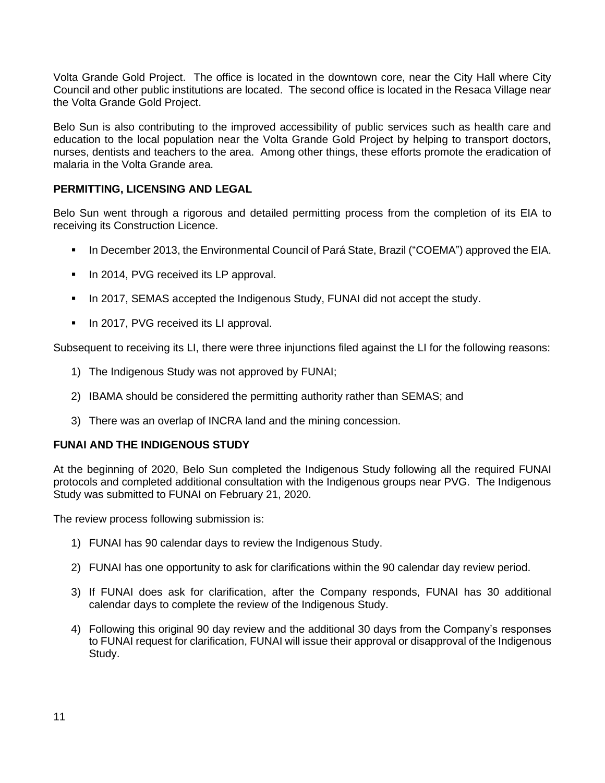Volta Grande Gold Project. The office is located in the downtown core, near the City Hall where City Council and other public institutions are located. The second office is located in the Resaca Village near the Volta Grande Gold Project.

Belo Sun is also contributing to the improved accessibility of public services such as health care and education to the local population near the Volta Grande Gold Project by helping to transport doctors, nurses, dentists and teachers to the area. Among other things, these efforts promote the eradication of malaria in the Volta Grande area.

# **PERMITTING, LICENSING AND LEGAL**

Belo Sun went through a rigorous and detailed permitting process from the completion of its EIA to receiving its Construction Licence.

- In December 2013, the Environmental Council of Pará State, Brazil ("COEMA") approved the EIA.
- **·** In 2014, PVG received its LP approval.
- In 2017, SEMAS accepted the Indigenous Study, FUNAI did not accept the study.
- **■** In 2017, PVG received its LI approval.

Subsequent to receiving its LI, there were three injunctions filed against the LI for the following reasons:

- 1) The Indigenous Study was not approved by FUNAI;
- 2) IBAMA should be considered the permitting authority rather than SEMAS; and
- 3) There was an overlap of INCRA land and the mining concession.

# **FUNAI AND THE INDIGENOUS STUDY**

At the beginning of 2020, Belo Sun completed the Indigenous Study following all the required FUNAI protocols and completed additional consultation with the Indigenous groups near PVG. The Indigenous Study was submitted to FUNAI on February 21, 2020.

The review process following submission is:

- 1) FUNAI has 90 calendar days to review the Indigenous Study.
- 2) FUNAI has one opportunity to ask for clarifications within the 90 calendar day review period.
- 3) If FUNAI does ask for clarification, after the Company responds, FUNAI has 30 additional calendar days to complete the review of the Indigenous Study.
- 4) Following this original 90 day review and the additional 30 days from the Company's responses to FUNAI request for clarification, FUNAI will issue their approval or disapproval of the Indigenous Study.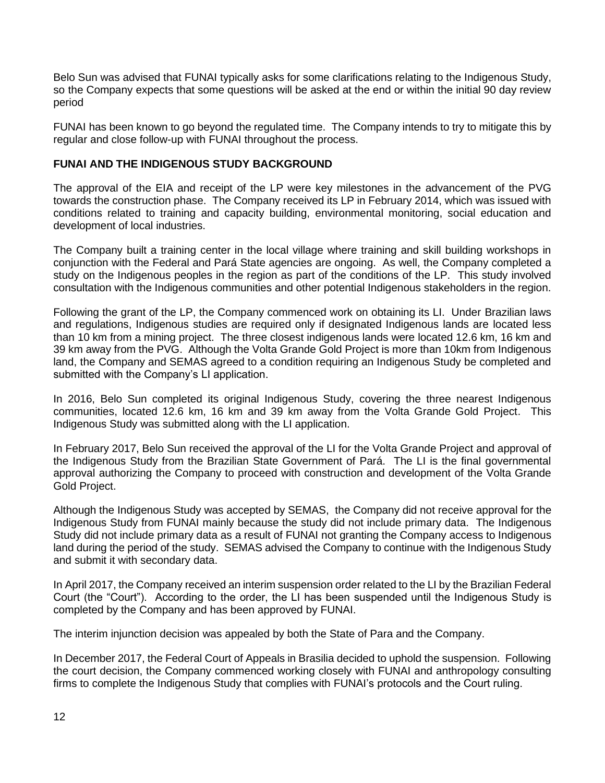Belo Sun was advised that FUNAI typically asks for some clarifications relating to the Indigenous Study, so the Company expects that some questions will be asked at the end or within the initial 90 day review period

FUNAI has been known to go beyond the regulated time. The Company intends to try to mitigate this by regular and close follow-up with FUNAI throughout the process.

# **FUNAI AND THE INDIGENOUS STUDY BACKGROUND**

The approval of the EIA and receipt of the LP were key milestones in the advancement of the PVG towards the construction phase. The Company received its LP in February 2014, which was issued with conditions related to training and capacity building, environmental monitoring, social education and development of local industries.

The Company built a training center in the local village where training and skill building workshops in conjunction with the Federal and Pará State agencies are ongoing. As well, the Company completed a study on the Indigenous peoples in the region as part of the conditions of the LP. This study involved consultation with the Indigenous communities and other potential Indigenous stakeholders in the region.

Following the grant of the LP, the Company commenced work on obtaining its LI. Under Brazilian laws and regulations, Indigenous studies are required only if designated Indigenous lands are located less than 10 km from a mining project. The three closest indigenous lands were located 12.6 km, 16 km and 39 km away from the PVG. Although the Volta Grande Gold Project is more than 10km from Indigenous land, the Company and SEMAS agreed to a condition requiring an Indigenous Study be completed and submitted with the Company's LI application.

In 2016, Belo Sun completed its original Indigenous Study, covering the three nearest Indigenous communities, located 12.6 km, 16 km and 39 km away from the Volta Grande Gold Project. This Indigenous Study was submitted along with the LI application.

In February 2017, Belo Sun received the approval of the LI for the Volta Grande Project and approval of the Indigenous Study from the Brazilian State Government of Pará. The LI is the final governmental approval authorizing the Company to proceed with construction and development of the Volta Grande Gold Project.

Although the Indigenous Study was accepted by SEMAS, the Company did not receive approval for the Indigenous Study from FUNAI mainly because the study did not include primary data. The Indigenous Study did not include primary data as a result of FUNAI not granting the Company access to Indigenous land during the period of the study. SEMAS advised the Company to continue with the Indigenous Study and submit it with secondary data.

In April 2017, the Company received an interim suspension order related to the LI by the Brazilian Federal Court (the "Court"). According to the order, the LI has been suspended until the Indigenous Study is completed by the Company and has been approved by FUNAI.

The interim injunction decision was appealed by both the State of Para and the Company.

In December 2017, the Federal Court of Appeals in Brasilia decided to uphold the suspension. Following the court decision, the Company commenced working closely with FUNAI and anthropology consulting firms to complete the Indigenous Study that complies with FUNAI's protocols and the Court ruling.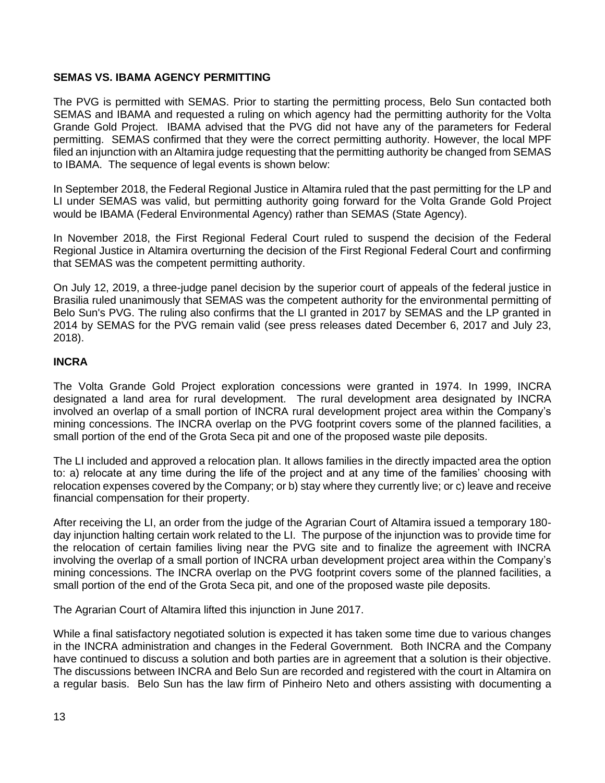# **SEMAS VS. IBAMA AGENCY PERMITTING**

The PVG is permitted with SEMAS. Prior to starting the permitting process, Belo Sun contacted both SEMAS and IBAMA and requested a ruling on which agency had the permitting authority for the Volta Grande Gold Project. IBAMA advised that the PVG did not have any of the parameters for Federal permitting. SEMAS confirmed that they were the correct permitting authority. However, the local MPF filed an injunction with an Altamira judge requesting that the permitting authority be changed from SEMAS to IBAMA. The sequence of legal events is shown below:

In September 2018, the Federal Regional Justice in Altamira ruled that the past permitting for the LP and LI under SEMAS was valid, but permitting authority going forward for the Volta Grande Gold Project would be IBAMA (Federal Environmental Agency) rather than SEMAS (State Agency).

In November 2018, the First Regional Federal Court ruled to suspend the decision of the Federal Regional Justice in Altamira overturning the decision of the First Regional Federal Court and confirming that SEMAS was the competent permitting authority.

On July 12, 2019, a three-judge panel decision by the superior court of appeals of the federal justice in Brasilia ruled unanimously that SEMAS was the competent authority for the environmental permitting of Belo Sun's PVG. The ruling also confirms that the LI granted in 2017 by SEMAS and the LP granted in 2014 by SEMAS for the PVG remain valid (see press releases dated December 6, 2017 and July 23, 2018).

# **INCRA**

The Volta Grande Gold Project exploration concessions were granted in 1974. In 1999, INCRA designated a land area for rural development. The rural development area designated by INCRA involved an overlap of a small portion of INCRA rural development project area within the Company's mining concessions. The INCRA overlap on the PVG footprint covers some of the planned facilities, a small portion of the end of the Grota Seca pit and one of the proposed waste pile deposits.

The LI included and approved a relocation plan. It allows families in the directly impacted area the option to: a) relocate at any time during the life of the project and at any time of the families' choosing with relocation expenses covered by the Company; or b) stay where they currently live; or c) leave and receive financial compensation for their property.

After receiving the LI, an order from the judge of the Agrarian Court of Altamira issued a temporary 180 day injunction halting certain work related to the LI. The purpose of the injunction was to provide time for the relocation of certain families living near the PVG site and to finalize the agreement with INCRA involving the overlap of a small portion of INCRA urban development project area within the Company's mining concessions. The INCRA overlap on the PVG footprint covers some of the planned facilities, a small portion of the end of the Grota Seca pit, and one of the proposed waste pile deposits.

The Agrarian Court of Altamira lifted this injunction in June 2017.

While a final satisfactory negotiated solution is expected it has taken some time due to various changes in the INCRA administration and changes in the Federal Government. Both INCRA and the Company have continued to discuss a solution and both parties are in agreement that a solution is their objective. The discussions between INCRA and Belo Sun are recorded and registered with the court in Altamira on a regular basis. Belo Sun has the law firm of Pinheiro Neto and others assisting with documenting a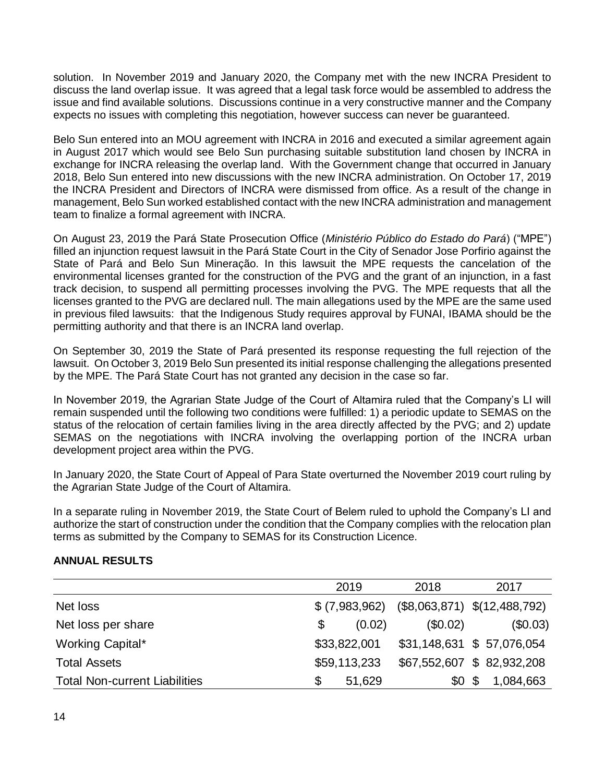solution. In November 2019 and January 2020, the Company met with the new INCRA President to discuss the land overlap issue. It was agreed that a legal task force would be assembled to address the issue and find available solutions. Discussions continue in a very constructive manner and the Company expects no issues with completing this negotiation, however success can never be guaranteed.

Belo Sun entered into an MOU agreement with INCRA in 2016 and executed a similar agreement again in August 2017 which would see Belo Sun purchasing suitable substitution land chosen by INCRA in exchange for INCRA releasing the overlap land. With the Government change that occurred in January 2018, Belo Sun entered into new discussions with the new INCRA administration. On October 17, 2019 the INCRA President and Directors of INCRA were dismissed from office. As a result of the change in management, Belo Sun worked established contact with the new INCRA administration and management team to finalize a formal agreement with INCRA.

On August 23, 2019 the Pará State Prosecution Office (*Ministério Público do Estado do Pará*) ("MPE") filled an injunction request lawsuit in the Pará State Court in the City of Senador Jose Porfirio against the State of Pará and Belo Sun Mineração. In this lawsuit the MPE requests the cancelation of the environmental licenses granted for the construction of the PVG and the grant of an injunction, in a fast track decision, to suspend all permitting processes involving the PVG. The MPE requests that all the licenses granted to the PVG are declared null. The main allegations used by the MPE are the same used in previous filed lawsuits: that the Indigenous Study requires approval by FUNAI, IBAMA should be the permitting authority and that there is an INCRA land overlap.

On September 30, 2019 the State of Pará presented its response requesting the full rejection of the lawsuit. On October 3, 2019 Belo Sun presented its initial response challenging the allegations presented by the MPE. The Pará State Court has not granted any decision in the case so far.

In November 2019, the Agrarian State Judge of the Court of Altamira ruled that the Company's LI will remain suspended until the following two conditions were fulfilled: 1) a periodic update to SEMAS on the status of the relocation of certain families living in the area directly affected by the PVG; and 2) update SEMAS on the negotiations with INCRA involving the overlapping portion of the INCRA urban development project area within the PVG.

In January 2020, the State Court of Appeal of Para State overturned the November 2019 court ruling by the Agrarian State Judge of the Court of Altamira.

In a separate ruling in November 2019, the State Court of Belem ruled to uphold the Company's LI and authorize the start of construction under the condition that the Company complies with the relocation plan terms as submitted by the Company to SEMAS for its Construction Licence.

#### **ANNUAL RESULTS**

|                                      | 2019                     | 2018     | 2017                           |
|--------------------------------------|--------------------------|----------|--------------------------------|
| Net loss                             | \$ (7,983,962)           |          | $($8,063,871)$ $$(12,488,792)$ |
| Net loss per share                   | (0.02)<br>$\mathfrak{F}$ | (\$0.02) | (\$0.03)                       |
| Working Capital*                     | \$33,822,001             |          | \$31,148,631 \$ 57,076,054     |
| <b>Total Assets</b>                  | \$59,113,233             |          | \$67,552,607 \$82,932,208      |
| <b>Total Non-current Liabilities</b> | 51,629                   | \$0S     | 1,084,663                      |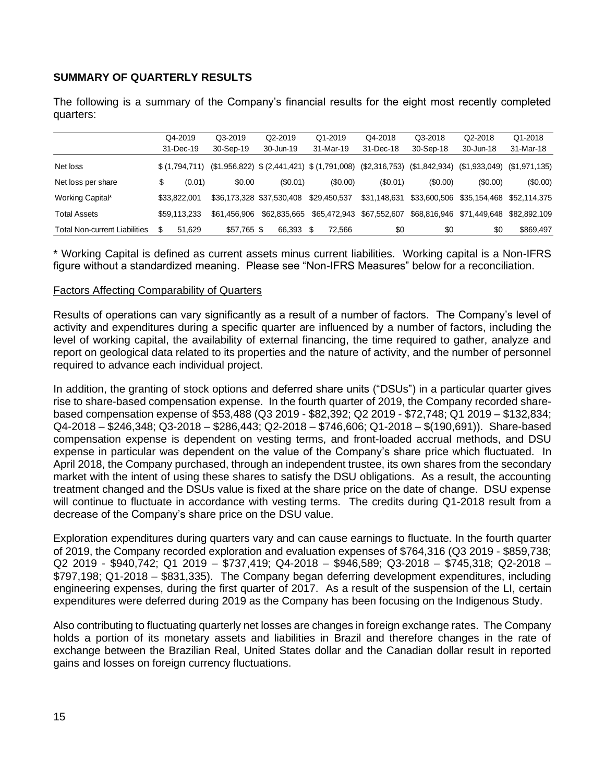# **SUMMARY OF QUARTERLY RESULTS**

The following is a summary of the Company's financial results for the eight most recently completed quarters:

|                                      |    | Q4-2019       | Q3-2019      | Q2-2019                   | Q1-2019                                      | Q4-2018                     | Q3-2018      | Q2-2018      | Q1-2018                       |
|--------------------------------------|----|---------------|--------------|---------------------------|----------------------------------------------|-----------------------------|--------------|--------------|-------------------------------|
|                                      |    | 31-Dec-19     | 30-Sep-19    | 30-Jun-19                 | 31-Mar-19                                    | 31-Dec-18                   | 30-Sep-18    | 30-Jun-18    | 31-Mar-18                     |
| Net loss                             |    | \$(1.794.711) |              |                           | $($1,956,822)$ $$(2,441,421)$ $$(1,791,008)$ | (\$2,316,753) (\$1,842,934) |              |              | $(S1,933,049)$ $(S1,971,135)$ |
| Net loss per share                   | \$ | (0.01)        | \$0.00       | (S0.01)                   | (S0.00)                                      | (S0.01)                     | (S0.00)      | $($ \$0.00)  | (\$0.00)                      |
| Working Capital*                     |    | \$33,822,001  |              | \$36.173.328 \$37.530.408 | \$29.450.537                                 | \$31.148.631                | \$33,600.506 | \$35.154.468 | \$52.114.375                  |
| <b>Total Assets</b>                  |    | \$59.113.233  | \$61.456.906 | \$62.835.665              | \$65,472,943                                 | \$67,552,607                | \$68.816.946 | \$71.449.648 | \$82.892.109                  |
| <b>Total Non-current Liabilities</b> | S  | 51.629        | $$57.765$ \$ | 66.393                    | 72.566                                       | \$0                         | \$0          | \$0          | \$869.497                     |

\* Working Capital is defined as current assets minus current liabilities. Working capital is a Non-IFRS figure without a standardized meaning. Please see "Non-IFRS Measures" below for a reconciliation.

#### Factors Affecting Comparability of Quarters

Results of operations can vary significantly as a result of a number of factors. The Company's level of activity and expenditures during a specific quarter are influenced by a number of factors, including the level of working capital, the availability of external financing, the time required to gather, analyze and report on geological data related to its properties and the nature of activity, and the number of personnel required to advance each individual project.

In addition, the granting of stock options and deferred share units ("DSUs") in a particular quarter gives rise to share-based compensation expense. In the fourth quarter of 2019, the Company recorded sharebased compensation expense of \$53,488 (Q3 2019 - \$82,392; Q2 2019 - \$72,748; Q1 2019 – \$132,834; Q4-2018 – \$246,348; Q3-2018 – \$286,443; Q2-2018 – \$746,606; Q1-2018 – \$(190,691)). Share-based compensation expense is dependent on vesting terms, and front-loaded accrual methods, and DSU expense in particular was dependent on the value of the Company's share price which fluctuated. In April 2018, the Company purchased, through an independent trustee, its own shares from the secondary market with the intent of using these shares to satisfy the DSU obligations. As a result, the accounting treatment changed and the DSUs value is fixed at the share price on the date of change. DSU expense will continue to fluctuate in accordance with vesting terms. The credits during Q1-2018 result from a decrease of the Company's share price on the DSU value.

Exploration expenditures during quarters vary and can cause earnings to fluctuate. In the fourth quarter of 2019, the Company recorded exploration and evaluation expenses of \$764,316 (Q3 2019 - \$859,738; Q2 2019 - \$940,742; Q1 2019 – \$737,419; Q4-2018 – \$946,589; Q3-2018 – \$745,318; Q2-2018 – \$797,198; Q1-2018 – \$831,335). The Company began deferring development expenditures, including engineering expenses, during the first quarter of 2017. As a result of the suspension of the LI, certain expenditures were deferred during 2019 as the Company has been focusing on the Indigenous Study.

Also contributing to fluctuating quarterly net losses are changes in foreign exchange rates. The Company holds a portion of its monetary assets and liabilities in Brazil and therefore changes in the rate of exchange between the Brazilian Real, United States dollar and the Canadian dollar result in reported gains and losses on foreign currency fluctuations.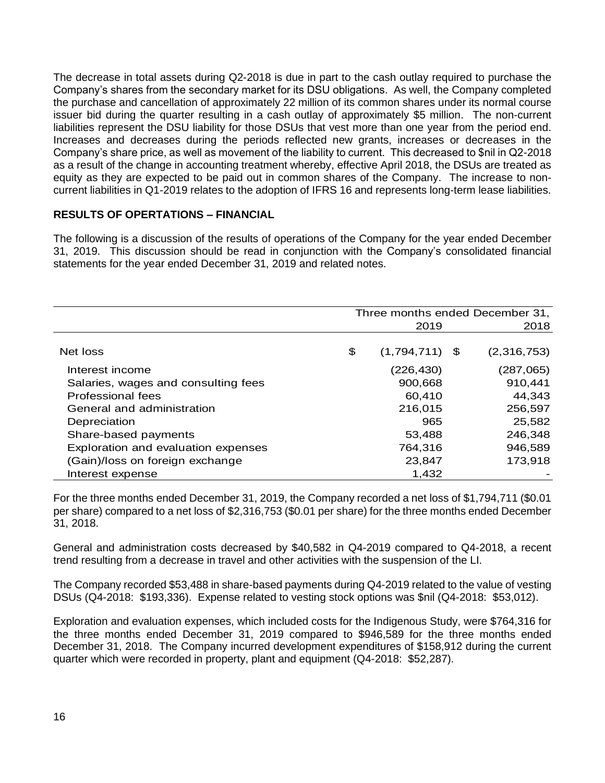The decrease in total assets during Q2-2018 is due in part to the cash outlay required to purchase the Company's shares from the secondary market for its DSU obligations. As well, the Company completed the purchase and cancellation of approximately 22 million of its common shares under its normal course issuer bid during the quarter resulting in a cash outlay of approximately \$5 million. The non-current liabilities represent the DSU liability for those DSUs that vest more than one year from the period end. Increases and decreases during the periods reflected new grants, increases or decreases in the Company's share price, as well as movement of the liability to current. This decreased to \$nil in Q2-2018 as a result of the change in accounting treatment whereby, effective April 2018, the DSUs are treated as equity as they are expected to be paid out in common shares of the Company. The increase to noncurrent liabilities in Q1-2019 relates to the adoption of IFRS 16 and represents long-term lease liabilities.

# **RESULTS OF OPERTATIONS – FINANCIAL**

The following is a discussion of the results of operations of the Company for the year ended December 31, 2019. This discussion should be read in conjunction with the Company's consolidated financial statements for the year ended December 31, 2019 and related notes.

|                                     | Three months ended December 31, |                  |  |             |  |  |
|-------------------------------------|---------------------------------|------------------|--|-------------|--|--|
|                                     |                                 | 2019             |  |             |  |  |
|                                     |                                 |                  |  |             |  |  |
| Net loss                            | \$                              | $(1,794,711)$ \$ |  | (2,316,753) |  |  |
| Interest income                     |                                 | (226, 430)       |  | (287,065)   |  |  |
| Salaries, wages and consulting fees |                                 | 900,668          |  | 910,441     |  |  |
| Professional fees                   |                                 | 60,410           |  | 44,343      |  |  |
| General and administration          |                                 | 216,015          |  | 256,597     |  |  |
| Depreciation                        |                                 | 965              |  | 25,582      |  |  |
| Share-based payments                |                                 | 53,488           |  | 246,348     |  |  |
| Exploration and evaluation expenses |                                 | 764,316          |  | 946,589     |  |  |
| (Gain)/loss on foreign exchange     |                                 | 23,847           |  | 173,918     |  |  |
| Interest expense                    |                                 | 1,432            |  |             |  |  |

For the three months ended December 31, 2019, the Company recorded a net loss of \$1,794,711 (\$0.01 per share) compared to a net loss of \$2,316,753 (\$0.01 per share) for the three months ended December 31, 2018.

General and administration costs decreased by \$40,582 in Q4-2019 compared to Q4-2018, a recent trend resulting from a decrease in travel and other activities with the suspension of the LI.

The Company recorded \$53,488 in share-based payments during Q4-2019 related to the value of vesting DSUs (Q4-2018: \$193,336). Expense related to vesting stock options was \$nil (Q4-2018: \$53,012).

Exploration and evaluation expenses, which included costs for the Indigenous Study, were \$764,316 for the three months ended December 31, 2019 compared to \$946,589 for the three months ended December 31, 2018. The Company incurred development expenditures of \$158,912 during the current quarter which were recorded in property, plant and equipment (Q4-2018: \$52,287).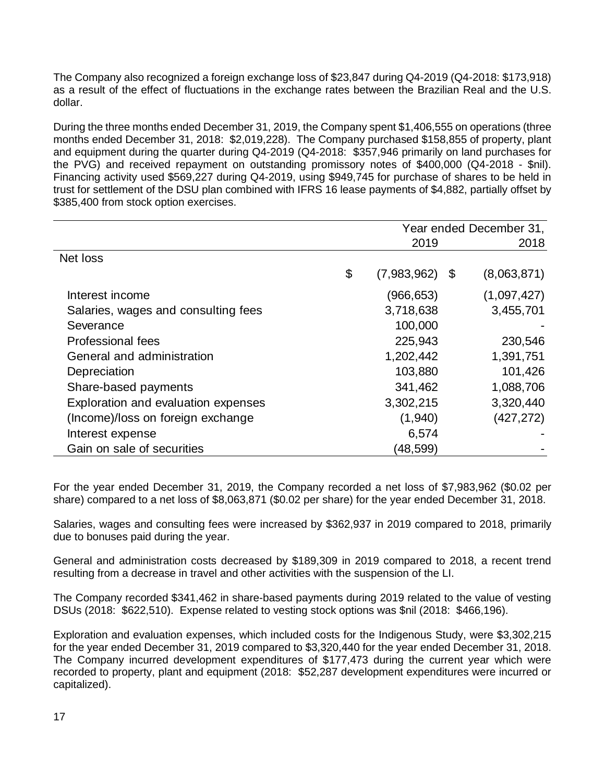The Company also recognized a foreign exchange loss of \$23,847 during Q4-2019 (Q4-2018: \$173,918) as a result of the effect of fluctuations in the exchange rates between the Brazilian Real and the U.S. dollar.

During the three months ended December 31, 2019, the Company spent \$1,406,555 on operations (three months ended December 31, 2018: \$2,019,228). The Company purchased \$158,855 of property, plant and equipment during the quarter during Q4-2019 (Q4-2018: \$357,946 primarily on land purchases for the PVG) and received repayment on outstanding promissory notes of \$400,000 (Q4-2018 - \$nil). Financing activity used \$569,227 during Q4-2019, using \$949,745 for purchase of shares to be held in trust for settlement of the DSU plan combined with IFRS 16 lease payments of \$4,882, partially offset by \$385,400 from stock option exercises.

|                                     | Year ended December 31, |     |             |  |
|-------------------------------------|-------------------------|-----|-------------|--|
|                                     | 2019                    |     | 2018        |  |
| Net loss                            |                         |     |             |  |
|                                     | \$<br>(7,983,962)       | -\$ | (8,063,871) |  |
| Interest income                     | (966,653)               |     | (1,097,427) |  |
| Salaries, wages and consulting fees | 3,718,638               |     | 3,455,701   |  |
| Severance                           | 100,000                 |     |             |  |
| <b>Professional fees</b>            | 225,943                 |     | 230,546     |  |
| General and administration          | 1,202,442               |     | 1,391,751   |  |
| Depreciation                        | 103,880                 |     | 101,426     |  |
| Share-based payments                | 341,462                 |     | 1,088,706   |  |
| Exploration and evaluation expenses | 3,302,215               |     | 3,320,440   |  |
| (Income)/loss on foreign exchange   | (1,940)                 |     | (427, 272)  |  |
| Interest expense                    | 6,574                   |     |             |  |
| Gain on sale of securities          | (48,599)                |     |             |  |

For the year ended December 31, 2019, the Company recorded a net loss of \$7,983,962 (\$0.02 per share) compared to a net loss of \$8,063,871 (\$0.02 per share) for the year ended December 31, 2018.

Salaries, wages and consulting fees were increased by \$362,937 in 2019 compared to 2018, primarily due to bonuses paid during the year.

General and administration costs decreased by \$189,309 in 2019 compared to 2018, a recent trend resulting from a decrease in travel and other activities with the suspension of the LI.

The Company recorded \$341,462 in share-based payments during 2019 related to the value of vesting DSUs (2018: \$622,510). Expense related to vesting stock options was \$nil (2018: \$466,196).

Exploration and evaluation expenses, which included costs for the Indigenous Study, were \$3,302,215 for the year ended December 31, 2019 compared to \$3,320,440 for the year ended December 31, 2018. The Company incurred development expenditures of \$177,473 during the current year which were recorded to property, plant and equipment (2018: \$52,287 development expenditures were incurred or capitalized).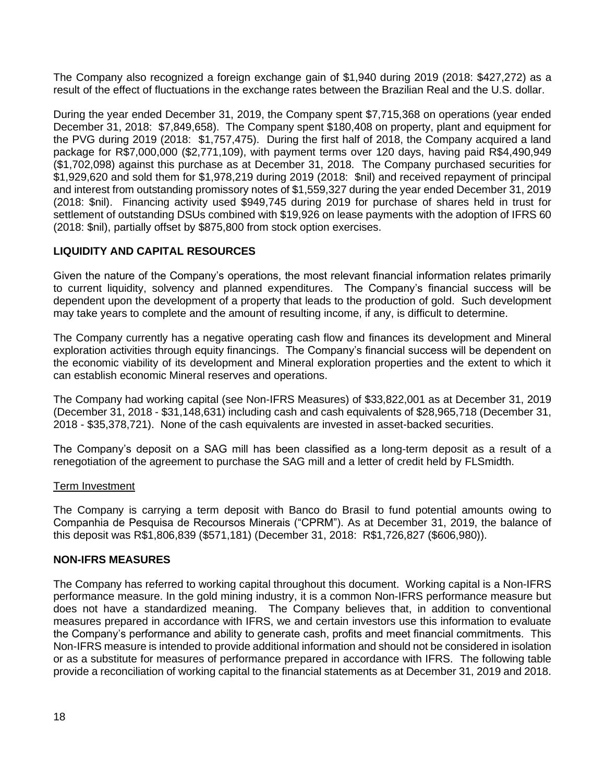The Company also recognized a foreign exchange gain of \$1,940 during 2019 (2018: \$427,272) as a result of the effect of fluctuations in the exchange rates between the Brazilian Real and the U.S. dollar.

During the year ended December 31, 2019, the Company spent \$7,715,368 on operations (year ended December 31, 2018: \$7,849,658). The Company spent \$180,408 on property, plant and equipment for the PVG during 2019 (2018: \$1,757,475). During the first half of 2018, the Company acquired a land package for R\$7,000,000 (\$2,771,109), with payment terms over 120 days, having paid R\$4,490,949 (\$1,702,098) against this purchase as at December 31, 2018. The Company purchased securities for \$1,929,620 and sold them for \$1,978,219 during 2019 (2018: \$nil) and received repayment of principal and interest from outstanding promissory notes of \$1,559,327 during the year ended December 31, 2019 (2018: \$nil). Financing activity used \$949,745 during 2019 for purchase of shares held in trust for settlement of outstanding DSUs combined with \$19,926 on lease payments with the adoption of IFRS 60 (2018: \$nil), partially offset by \$875,800 from stock option exercises.

# **LIQUIDITY AND CAPITAL RESOURCES**

Given the nature of the Company's operations, the most relevant financial information relates primarily to current liquidity, solvency and planned expenditures. The Company's financial success will be dependent upon the development of a property that leads to the production of gold. Such development may take years to complete and the amount of resulting income, if any, is difficult to determine.

The Company currently has a negative operating cash flow and finances its development and Mineral exploration activities through equity financings. The Company's financial success will be dependent on the economic viability of its development and Mineral exploration properties and the extent to which it can establish economic Mineral reserves and operations.

The Company had working capital (see Non-IFRS Measures) of \$33,822,001 as at December 31, 2019 (December 31, 2018 - \$31,148,631) including cash and cash equivalents of \$28,965,718 (December 31, 2018 - \$35,378,721). None of the cash equivalents are invested in asset-backed securities.

The Company's deposit on a SAG mill has been classified as a long-term deposit as a result of a renegotiation of the agreement to purchase the SAG mill and a letter of credit held by FLSmidth.

# Term Investment

The Company is carrying a term deposit with Banco do Brasil to fund potential amounts owing to Companhia de Pesquisa de Recoursos Minerais ("CPRM"). As at December 31, 2019, the balance of this deposit was R\$1,806,839 (\$571,181) (December 31, 2018: R\$1,726,827 (\$606,980)).

#### **NON-IFRS MEASURES**

The Company has referred to working capital throughout this document. Working capital is a Non-IFRS performance measure. In the gold mining industry, it is a common Non-IFRS performance measure but does not have a standardized meaning. The Company believes that, in addition to conventional measures prepared in accordance with IFRS, we and certain investors use this information to evaluate the Company's performance and ability to generate cash, profits and meet financial commitments. This Non-IFRS measure is intended to provide additional information and should not be considered in isolation or as a substitute for measures of performance prepared in accordance with IFRS. The following table provide a reconciliation of working capital to the financial statements as at December 31, 2019 and 2018.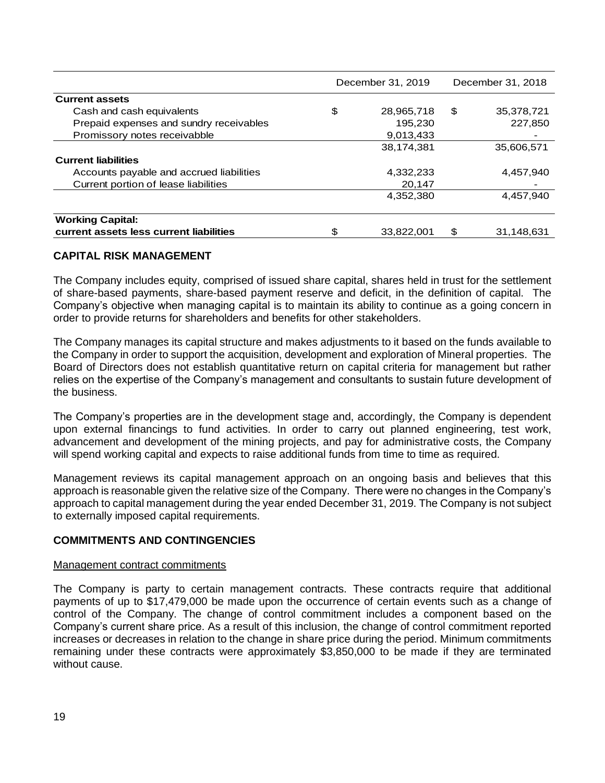|                                                                                                                                                                                                                                                                                                                                                                                                                                                                                                                                                                                                                                            | December 31, 2019 | December 31, 2018 |
|--------------------------------------------------------------------------------------------------------------------------------------------------------------------------------------------------------------------------------------------------------------------------------------------------------------------------------------------------------------------------------------------------------------------------------------------------------------------------------------------------------------------------------------------------------------------------------------------------------------------------------------------|-------------------|-------------------|
| <b>Current assets</b>                                                                                                                                                                                                                                                                                                                                                                                                                                                                                                                                                                                                                      |                   |                   |
| Cash and cash equivalents                                                                                                                                                                                                                                                                                                                                                                                                                                                                                                                                                                                                                  | \$<br>28,965,718  | \$<br>35,378,721  |
| Prepaid expenses and sundry receivables                                                                                                                                                                                                                                                                                                                                                                                                                                                                                                                                                                                                    | 195,230           | 227,850           |
| Promissory notes receivabble                                                                                                                                                                                                                                                                                                                                                                                                                                                                                                                                                                                                               | 9,013,433         |                   |
|                                                                                                                                                                                                                                                                                                                                                                                                                                                                                                                                                                                                                                            | 38,174,381        | 35,606,571        |
| <b>Current liabilities</b>                                                                                                                                                                                                                                                                                                                                                                                                                                                                                                                                                                                                                 |                   |                   |
| Accounts payable and accrued liabilities                                                                                                                                                                                                                                                                                                                                                                                                                                                                                                                                                                                                   | 4,332,233         | 4,457,940         |
| Current portion of lease liabilities                                                                                                                                                                                                                                                                                                                                                                                                                                                                                                                                                                                                       | 20,147            |                   |
|                                                                                                                                                                                                                                                                                                                                                                                                                                                                                                                                                                                                                                            | 4,352,380         | 4,457,940         |
|                                                                                                                                                                                                                                                                                                                                                                                                                                                                                                                                                                                                                                            |                   |                   |
| <b>Working Capital:</b><br>current assets less current liabilities                                                                                                                                                                                                                                                                                                                                                                                                                                                                                                                                                                         | \$<br>33,822,001  | \$<br>31,148,631  |
| <b>CAPITAL RISK MANAGEMENT</b>                                                                                                                                                                                                                                                                                                                                                                                                                                                                                                                                                                                                             |                   |                   |
| The Company includes equity, comprised of issued share capital, shares held in trust for the settlement<br>of share-based payments, share-based payment reserve and deficit, in the definition of capital. The<br>Company's objective when managing capital is to maintain its ability to continue as a going concern in<br>order to provide returns for shareholders and benefits for other stakeholders.                                                                                                                                                                                                                                 |                   |                   |
| The Company manages its capital structure and makes adjustments to it based on the funds available to<br>the Company in order to support the acquisition, development and exploration of Mineral properties. The<br>Board of Directors does not establish quantitative return on capital criteria for management but rather<br>relies on the expertise of the Company's management and consultants to sustain future development of<br>the business.                                                                                                                                                                                       |                   |                   |
| The Company's properties are in the development stage and, accordingly, the Company is dependent<br>upon external financings to fund activities. In order to carry out planned engineering, test work,<br>advancement and development of the mining projects, and pay for administrative costs, the Company<br>will spend working capital and expects to raise additional funds from time to time as required.                                                                                                                                                                                                                             |                   |                   |
| Management reviews its capital management approach on an ongoing basis and believes that this<br>approach is reasonable given the relative size of the Company. There were no changes in the Company's<br>approach to capital management during the year ended December 31, 2019. The Company is not subject<br>to externally imposed capital requirements.                                                                                                                                                                                                                                                                                |                   |                   |
| <b>COMMITMENTS AND CONTINGENCIES</b>                                                                                                                                                                                                                                                                                                                                                                                                                                                                                                                                                                                                       |                   |                   |
| Management contract commitments                                                                                                                                                                                                                                                                                                                                                                                                                                                                                                                                                                                                            |                   |                   |
| The Company is party to certain management contracts. These contracts require that additional<br>payments of up to \$17,479,000 be made upon the occurrence of certain events such as a change of<br>control of the Company. The change of control commitment includes a component based on the<br>Company's current share price. As a result of this inclusion, the change of control commitment reported<br>increases or decreases in relation to the change in share price during the period. Minimum commitments<br>remaining under these contracts were approximately \$3,850,000 to be made if they are terminated<br>without cause. |                   |                   |
| 19                                                                                                                                                                                                                                                                                                                                                                                                                                                                                                                                                                                                                                         |                   |                   |

### **CAPITAL RISK MANAGEMENT**

#### **COMMITMENTS AND CONTINGENCIES**

#### Management contract commitments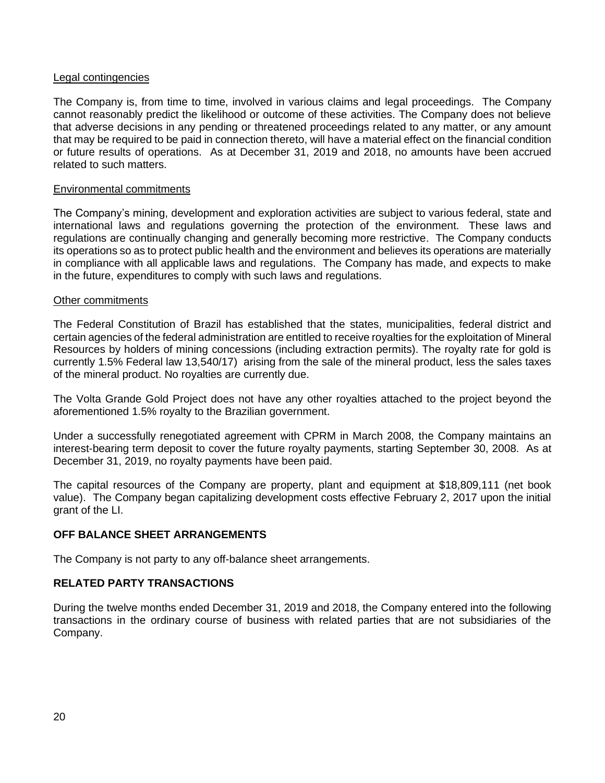## Legal contingencies

The Company is, from time to time, involved in various claims and legal proceedings. The Company cannot reasonably predict the likelihood or outcome of these activities. The Company does not believe that adverse decisions in any pending or threatened proceedings related to any matter, or any amount that may be required to be paid in connection thereto, will have a material effect on the financial condition or future results of operations. As at December 31, 2019 and 2018, no amounts have been accrued related to such matters.

#### Environmental commitments

The Company's mining, development and exploration activities are subject to various federal, state and international laws and regulations governing the protection of the environment. These laws and regulations are continually changing and generally becoming more restrictive. The Company conducts its operations so as to protect public health and the environment and believes its operations are materially in compliance with all applicable laws and regulations. The Company has made, and expects to make in the future, expenditures to comply with such laws and regulations.

#### Other commitments

The Federal Constitution of Brazil has established that the states, municipalities, federal district and certain agencies of the federal administration are entitled to receive royalties for the exploitation of Mineral Resources by holders of mining concessions (including extraction permits). The royalty rate for gold is currently 1.5% Federal law 13,540/17) arising from the sale of the mineral product, less the sales taxes of the mineral product. No royalties are currently due.

The Volta Grande Gold Project does not have any other royalties attached to the project beyond the aforementioned 1.5% royalty to the Brazilian government.

Under a successfully renegotiated agreement with CPRM in March 2008, the Company maintains an interest-bearing term deposit to cover the future royalty payments, starting September 30, 2008. As at December 31, 2019, no royalty payments have been paid.

The capital resources of the Company are property, plant and equipment at \$18,809,111 (net book value). The Company began capitalizing development costs effective February 2, 2017 upon the initial grant of the LI.

# **OFF BALANCE SHEET ARRANGEMENTS**

The Company is not party to any off-balance sheet arrangements.

# **RELATED PARTY TRANSACTIONS**

During the twelve months ended December 31, 2019 and 2018, the Company entered into the following transactions in the ordinary course of business with related parties that are not subsidiaries of the Company.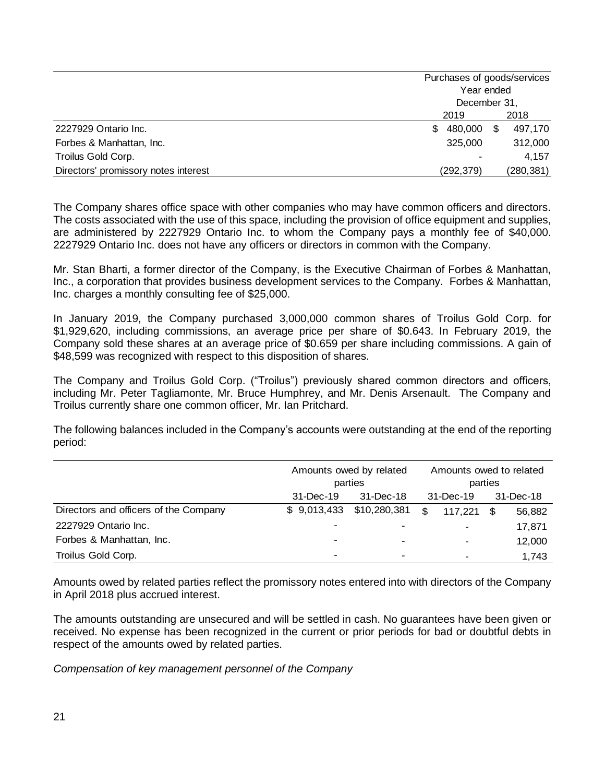|                                      | Purchases of goods/services |               |  |
|--------------------------------------|-----------------------------|---------------|--|
|                                      | Year ended                  |               |  |
|                                      | December 31,                |               |  |
|                                      | 2019                        | 2018          |  |
| 2227929 Ontario Inc.                 | 480,000<br>S.               | \$<br>497,170 |  |
| Forbes & Manhattan, Inc.             | 325,000                     | 312,000       |  |
| Troilus Gold Corp.                   |                             | 4.157         |  |
| Directors' promissory notes interest | (292,379)                   | (280, 381)    |  |

The Company shares office space with other companies who may have common officers and directors. The costs associated with the use of this space, including the provision of office equipment and supplies, are administered by 2227929 Ontario Inc. to whom the Company pays a monthly fee of \$40,000. 2227929 Ontario Inc. does not have any officers or directors in common with the Company.

Mr. Stan Bharti, a former director of the Company, is the Executive Chairman of Forbes & Manhattan, Inc., a corporation that provides business development services to the Company. Forbes & Manhattan, Inc. charges a monthly consulting fee of \$25,000.

In January 2019, the Company purchased 3,000,000 common shares of Troilus Gold Corp. for \$1,929,620, including commissions, an average price per share of \$0.643. In February 2019, the Company sold these shares at an average price of \$0.659 per share including commissions. A gain of \$48,599 was recognized with respect to this disposition of shares.

The Company and Troilus Gold Corp. ("Troilus") previously shared common directors and officers, including Mr. Peter Tagliamonte, Mr. Bruce Humphrey, and Mr. Denis Arsenault. The Company and Troilus currently share one common officer, Mr. Ian Pritchard.

The following balances included in the Company's accounts were outstanding at the end of the reporting period:

|                                       | Amounts owed by related |                          | Amounts owed to related |         |     |           |  |
|---------------------------------------|-------------------------|--------------------------|-------------------------|---------|-----|-----------|--|
|                                       |                         | parties                  | parties<br>31-Dec-19    |         |     |           |  |
|                                       | 31-Dec-19               | 31-Dec-18                |                         |         |     | 31-Dec-18 |  |
| Directors and officers of the Company | \$9,013,433             | \$10,280,381             | \$                      | 117,221 | -\$ | 56,882    |  |
| 2227929 Ontario Inc.                  |                         | $\overline{\phantom{a}}$ |                         |         |     | 17,871    |  |
| Forbes & Manhattan, Inc.              | -                       |                          |                         |         |     | 12,000    |  |
| Troilus Gold Corp.                    | -                       | $\blacksquare$           |                         |         |     | 1,743     |  |

Amounts owed by related parties reflect the promissory notes entered into with directors of the Company in April 2018 plus accrued interest.

The amounts outstanding are unsecured and will be settled in cash. No guarantees have been given or received. No expense has been recognized in the current or prior periods for bad or doubtful debts in respect of the amounts owed by related parties.

*Compensation of key management personnel of the Company*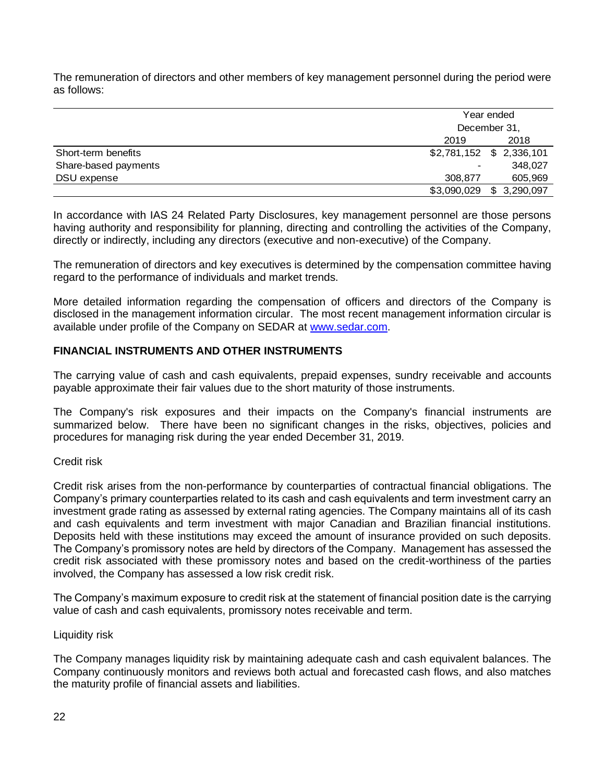The remuneration of directors and other members of key management personnel during the period were as follows:

|                      |             | Year ended<br>December 31, |  |  |
|----------------------|-------------|----------------------------|--|--|
|                      |             |                            |  |  |
|                      | 2019        | 2018                       |  |  |
| Short-term benefits  |             | \$2,781,152 \$ 2,336,101   |  |  |
| Share-based payments | $\,$        | 348,027                    |  |  |
| DSU expense          | 308,877     | 605,969                    |  |  |
|                      | \$3,090,029 | \$3,290,097                |  |  |

In accordance with IAS 24 Related Party Disclosures, key management personnel are those persons having authority and responsibility for planning, directing and controlling the activities of the Company, directly or indirectly, including any directors (executive and non-executive) of the Company.

The remuneration of directors and key executives is determined by the compensation committee having regard to the performance of individuals and market trends.

More detailed information regarding the compensation of officers and directors of the Company is disclosed in the management information circular. The most recent management information circular is available under profile of the Company on SEDAR at [www.sedar.com.](http://www.sedar.com/)

# **FINANCIAL INSTRUMENTS AND OTHER INSTRUMENTS**

The carrying value of cash and cash equivalents, prepaid expenses, sundry receivable and accounts payable approximate their fair values due to the short maturity of those instruments.

The Company's risk exposures and their impacts on the Company's financial instruments are summarized below. There have been no significant changes in the risks, objectives, policies and procedures for managing risk during the year ended December 31, 2019.

#### Credit risk

Credit risk arises from the non-performance by counterparties of contractual financial obligations. The Company's primary counterparties related to its cash and cash equivalents and term investment carry an investment grade rating as assessed by external rating agencies. The Company maintains all of its cash and cash equivalents and term investment with major Canadian and Brazilian financial institutions. Deposits held with these institutions may exceed the amount of insurance provided on such deposits. The Company's promissory notes are held by directors of the Company. Management has assessed the credit risk associated with these promissory notes and based on the credit-worthiness of the parties involved, the Company has assessed a low risk credit risk.

The Company's maximum exposure to credit risk at the statement of financial position date is the carrying value of cash and cash equivalents, promissory notes receivable and term.

#### Liquidity risk

The Company manages liquidity risk by maintaining adequate cash and cash equivalent balances. The Company continuously monitors and reviews both actual and forecasted cash flows, and also matches the maturity profile of financial assets and liabilities.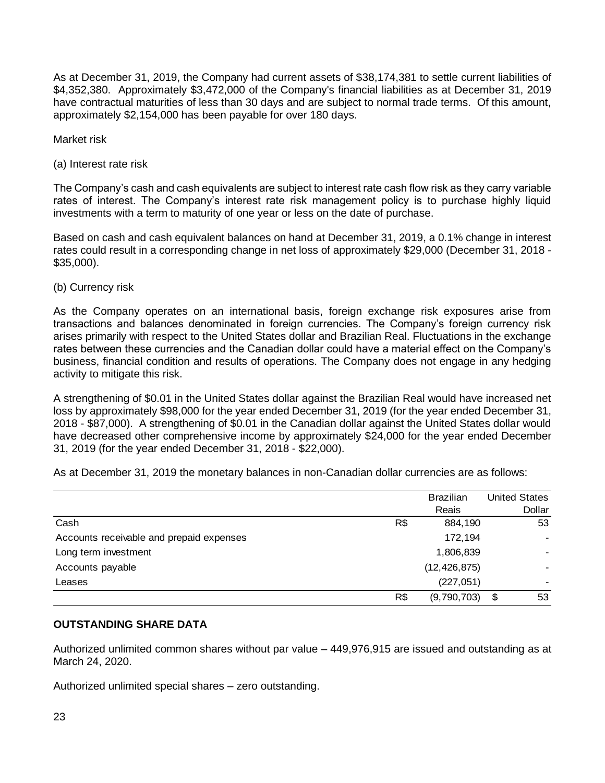As at December 31, 2019, the Company had current assets of \$38,174,381 to settle current liabilities of \$4,352,380. Approximately \$3,472,000 of the Company's financial liabilities as at December 31, 2019 have contractual maturities of less than 30 days and are subject to normal trade terms. Of this amount, approximately \$2,154,000 has been payable for over 180 days.

Market risk

(a) Interest rate risk

The Company's cash and cash equivalents are subject to interest rate cash flow risk as they carry variable rates of interest. The Company's interest rate risk management policy is to purchase highly liquid investments with a term to maturity of one year or less on the date of purchase.

Based on cash and cash equivalent balances on hand at December 31, 2019, a 0.1% change in interest rates could result in a corresponding change in net loss of approximately \$29,000 (December 31, 2018 - \$35,000).

(b) Currency risk

As the Company operates on an international basis, foreign exchange risk exposures arise from transactions and balances denominated in foreign currencies. The Company's foreign currency risk arises primarily with respect to the United States dollar and Brazilian Real. Fluctuations in the exchange rates between these currencies and the Canadian dollar could have a material effect on the Company's business, financial condition and results of operations. The Company does not engage in any hedging activity to mitigate this risk.

A strengthening of \$0.01 in the United States dollar against the Brazilian Real would have increased net loss by approximately \$98,000 for the year ended December 31, 2019 (for the year ended December 31, 2018 - \$87,000). A strengthening of \$0.01 in the Canadian dollar against the United States dollar would have decreased other comprehensive income by approximately \$24,000 for the year ended December 31, 2019 (for the year ended December 31, 2018 - \$22,000).

As at December 31, 2019 the monetary balances in non-Canadian dollar currencies are as follows:

|                                          |     | <b>Brazilian</b> |    | <b>United States</b> |
|------------------------------------------|-----|------------------|----|----------------------|
|                                          |     | Reais            |    | Dollar               |
| Cash                                     | R\$ | 884,190          |    | 53                   |
| Accounts receivable and prepaid expenses |     | 172,194          |    | ۰.                   |
| Long term investment                     |     | 1,806,839        |    |                      |
| Accounts payable                         |     | (12, 426, 875)   |    |                      |
| Leases                                   |     | (227, 051)       |    |                      |
|                                          | R\$ | (9,790,703)      | \$ | 53                   |

# **OUTSTANDING SHARE DATA**

Authorized unlimited common shares without par value – 449,976,915 are issued and outstanding as at March 24, 2020.

Authorized unlimited special shares – zero outstanding.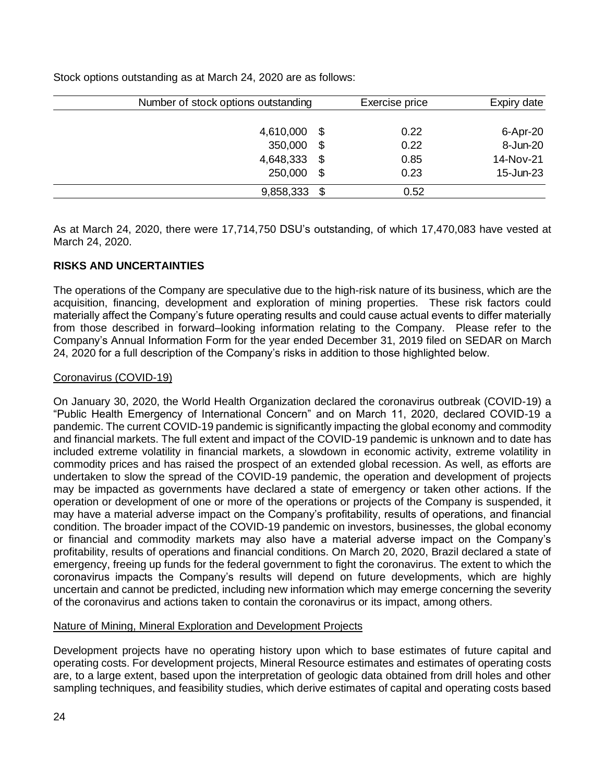Stock options outstanding as at March 24, 2020 are as follows:

| Number of stock options outstanding |      | Exercise price | Expiry date     |
|-------------------------------------|------|----------------|-----------------|
|                                     |      |                |                 |
| 4,610,000                           | \$   | 0.22           | $6 -$ Apr $-20$ |
| 350,000                             | \$   | 0.22           | 8-Jun-20        |
| 4,648,333                           | \$   | 0.85           | 14-Nov-21       |
| 250,000                             | \$   | 0.23           | 15-Jun-23       |
| 9,858,333                           | - \$ | 0.52           |                 |

As at March 24, 2020, there were 17,714,750 DSU's outstanding, of which 17,470,083 have vested at March 24, 2020.

# **RISKS AND UNCERTAINTIES**

The operations of the Company are speculative due to the high-risk nature of its business, which are the acquisition, financing, development and exploration of mining properties. These risk factors could materially affect the Company's future operating results and could cause actual events to differ materially from those described in forward–looking information relating to the Company. Please refer to the Company's Annual Information Form for the year ended December 31, 2019 filed on SEDAR on March 24, 2020 for a full description of the Company's risks in addition to those highlighted below.

# Coronavirus (COVID-19)

On January 30, 2020, the World Health Organization declared the coronavirus outbreak (COVID-19) a "Public Health Emergency of International Concern" and on March 11, 2020, declared COVID-19 a pandemic. The current COVID-19 pandemic is significantly impacting the global economy and commodity and financial markets. The full extent and impact of the COVID-19 pandemic is unknown and to date has included extreme volatility in financial markets, a slowdown in economic activity, extreme volatility in commodity prices and has raised the prospect of an extended global recession. As well, as efforts are undertaken to slow the spread of the COVID-19 pandemic, the operation and development of projects may be impacted as governments have declared a state of emergency or taken other actions. If the operation or development of one or more of the operations or projects of the Company is suspended, it may have a material adverse impact on the Company's profitability, results of operations, and financial condition. The broader impact of the COVID-19 pandemic on investors, businesses, the global economy or financial and commodity markets may also have a material adverse impact on the Company's profitability, results of operations and financial conditions. On March 20, 2020, Brazil declared a state of emergency, freeing up funds for the federal government to fight the coronavirus. The extent to which the coronavirus impacts the Company's results will depend on future developments, which are highly uncertain and cannot be predicted, including new information which may emerge concerning the severity of the coronavirus and actions taken to contain the coronavirus or its impact, among others.

# Nature of Mining, Mineral Exploration and Development Projects

Development projects have no operating history upon which to base estimates of future capital and operating costs. For development projects, Mineral Resource estimates and estimates of operating costs are, to a large extent, based upon the interpretation of geologic data obtained from drill holes and other sampling techniques, and feasibility studies, which derive estimates of capital and operating costs based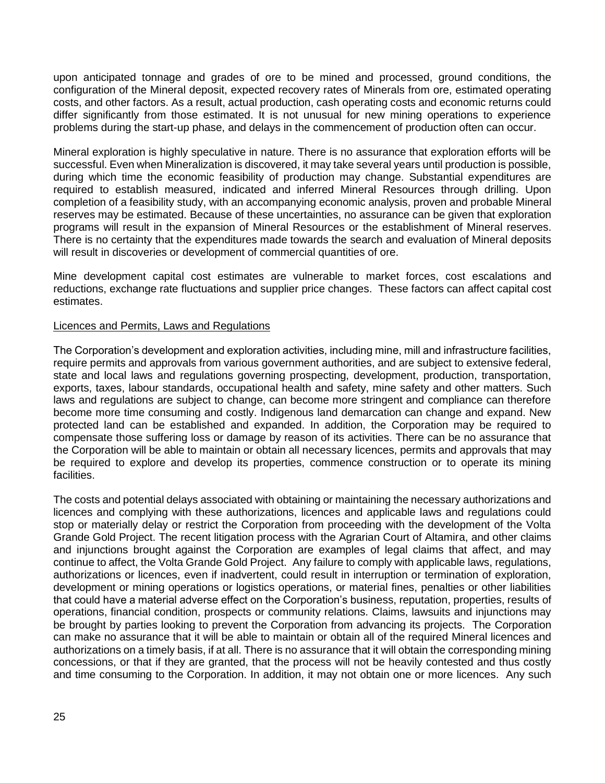upon anticipated tonnage and grades of ore to be mined and processed, ground conditions, the configuration of the Mineral deposit, expected recovery rates of Minerals from ore, estimated operating costs, and other factors. As a result, actual production, cash operating costs and economic returns could differ significantly from those estimated. It is not unusual for new mining operations to experience problems during the start-up phase, and delays in the commencement of production often can occur.

Mineral exploration is highly speculative in nature. There is no assurance that exploration efforts will be successful. Even when Mineralization is discovered, it may take several years until production is possible, during which time the economic feasibility of production may change. Substantial expenditures are required to establish measured, indicated and inferred Mineral Resources through drilling. Upon completion of a feasibility study, with an accompanying economic analysis, proven and probable Mineral reserves may be estimated. Because of these uncertainties, no assurance can be given that exploration programs will result in the expansion of Mineral Resources or the establishment of Mineral reserves. There is no certainty that the expenditures made towards the search and evaluation of Mineral deposits will result in discoveries or development of commercial quantities of ore.

Mine development capital cost estimates are vulnerable to market forces, cost escalations and reductions, exchange rate fluctuations and supplier price changes. These factors can affect capital cost estimates.

#### Licences and Permits, Laws and Regulations

The Corporation's development and exploration activities, including mine, mill and infrastructure facilities, require permits and approvals from various government authorities, and are subject to extensive federal, state and local laws and regulations governing prospecting, development, production, transportation, exports, taxes, labour standards, occupational health and safety, mine safety and other matters. Such laws and regulations are subject to change, can become more stringent and compliance can therefore become more time consuming and costly. Indigenous land demarcation can change and expand. New protected land can be established and expanded. In addition, the Corporation may be required to compensate those suffering loss or damage by reason of its activities. There can be no assurance that the Corporation will be able to maintain or obtain all necessary licences, permits and approvals that may be required to explore and develop its properties, commence construction or to operate its mining facilities.

The costs and potential delays associated with obtaining or maintaining the necessary authorizations and licences and complying with these authorizations, licences and applicable laws and regulations could stop or materially delay or restrict the Corporation from proceeding with the development of the Volta Grande Gold Project. The recent litigation process with the Agrarian Court of Altamira, and other claims and injunctions brought against the Corporation are examples of legal claims that affect, and may continue to affect, the Volta Grande Gold Project. Any failure to comply with applicable laws, regulations, authorizations or licences, even if inadvertent, could result in interruption or termination of exploration, development or mining operations or logistics operations, or material fines, penalties or other liabilities that could have a material adverse effect on the Corporation's business, reputation, properties, results of operations, financial condition, prospects or community relations. Claims, lawsuits and injunctions may be brought by parties looking to prevent the Corporation from advancing its projects. The Corporation can make no assurance that it will be able to maintain or obtain all of the required Mineral licences and authorizations on a timely basis, if at all. There is no assurance that it will obtain the corresponding mining concessions, or that if they are granted, that the process will not be heavily contested and thus costly and time consuming to the Corporation. In addition, it may not obtain one or more licences. Any such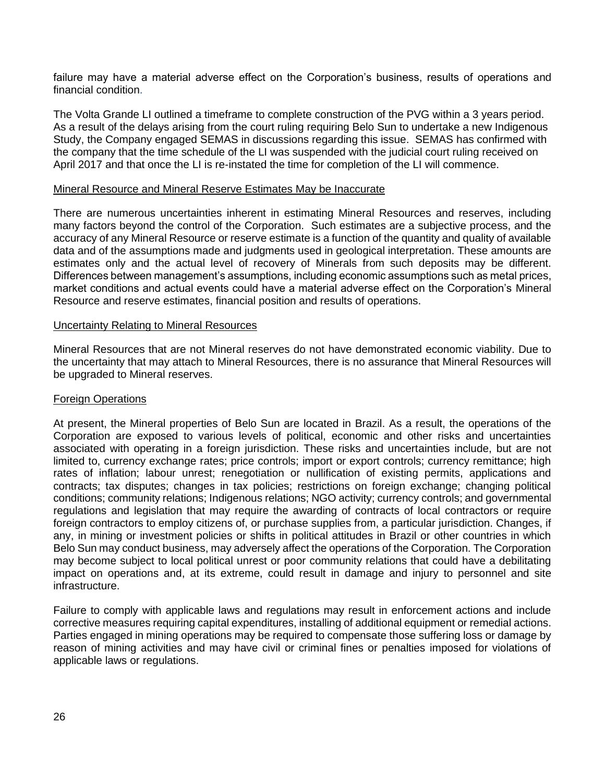failure may have a material adverse effect on the Corporation's business, results of operations and financial condition.

The Volta Grande LI outlined a timeframe to complete construction of the PVG within a 3 years period. As a result of the delays arising from the court ruling requiring Belo Sun to undertake a new Indigenous Study, the Company engaged SEMAS in discussions regarding this issue. SEMAS has confirmed with the company that the time schedule of the LI was suspended with the judicial court ruling received on April 2017 and that once the LI is re-instated the time for completion of the LI will commence.

#### Mineral Resource and Mineral Reserve Estimates May be Inaccurate

There are numerous uncertainties inherent in estimating Mineral Resources and reserves, including many factors beyond the control of the Corporation. Such estimates are a subjective process, and the accuracy of any Mineral Resource or reserve estimate is a function of the quantity and quality of available data and of the assumptions made and judgments used in geological interpretation. These amounts are estimates only and the actual level of recovery of Minerals from such deposits may be different. Differences between management's assumptions, including economic assumptions such as metal prices, market conditions and actual events could have a material adverse effect on the Corporation's Mineral Resource and reserve estimates, financial position and results of operations.

#### Uncertainty Relating to Mineral Resources

Mineral Resources that are not Mineral reserves do not have demonstrated economic viability. Due to the uncertainty that may attach to Mineral Resources, there is no assurance that Mineral Resources will be upgraded to Mineral reserves.

#### Foreign Operations

At present, the Mineral properties of Belo Sun are located in Brazil. As a result, the operations of the Corporation are exposed to various levels of political, economic and other risks and uncertainties associated with operating in a foreign jurisdiction. These risks and uncertainties include, but are not limited to, currency exchange rates; price controls; import or export controls; currency remittance; high rates of inflation; labour unrest; renegotiation or nullification of existing permits, applications and contracts; tax disputes; changes in tax policies; restrictions on foreign exchange; changing political conditions; community relations; Indigenous relations; NGO activity; currency controls; and governmental regulations and legislation that may require the awarding of contracts of local contractors or require foreign contractors to employ citizens of, or purchase supplies from, a particular jurisdiction. Changes, if any, in mining or investment policies or shifts in political attitudes in Brazil or other countries in which Belo Sun may conduct business, may adversely affect the operations of the Corporation. The Corporation may become subject to local political unrest or poor community relations that could have a debilitating impact on operations and, at its extreme, could result in damage and injury to personnel and site infrastructure.

Failure to comply with applicable laws and regulations may result in enforcement actions and include corrective measures requiring capital expenditures, installing of additional equipment or remedial actions. Parties engaged in mining operations may be required to compensate those suffering loss or damage by reason of mining activities and may have civil or criminal fines or penalties imposed for violations of applicable laws or regulations.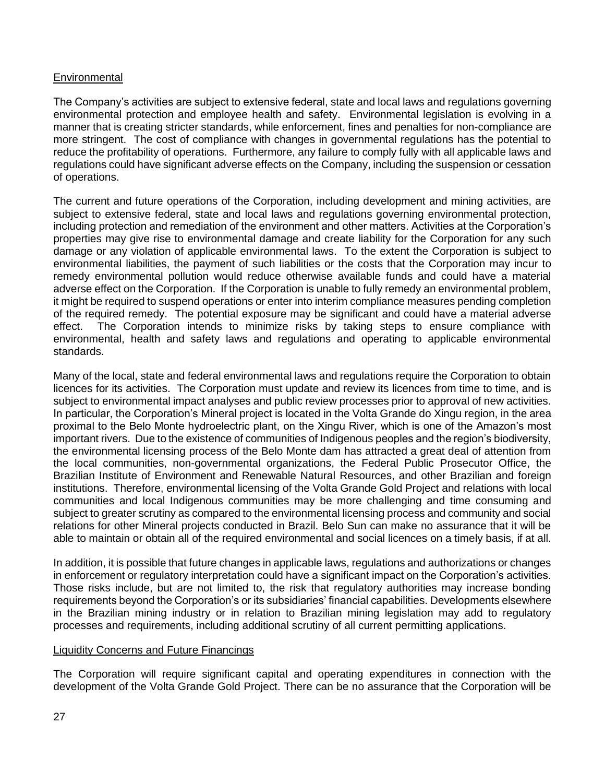# **Environmental**

The Company's activities are subject to extensive federal, state and local laws and regulations governing environmental protection and employee health and safety. Environmental legislation is evolving in a manner that is creating stricter standards, while enforcement, fines and penalties for non-compliance are more stringent. The cost of compliance with changes in governmental regulations has the potential to reduce the profitability of operations. Furthermore, any failure to comply fully with all applicable laws and regulations could have significant adverse effects on the Company, including the suspension or cessation of operations.

The current and future operations of the Corporation, including development and mining activities, are subject to extensive federal, state and local laws and regulations governing environmental protection, including protection and remediation of the environment and other matters. Activities at the Corporation's properties may give rise to environmental damage and create liability for the Corporation for any such damage or any violation of applicable environmental laws. To the extent the Corporation is subject to environmental liabilities, the payment of such liabilities or the costs that the Corporation may incur to remedy environmental pollution would reduce otherwise available funds and could have a material adverse effect on the Corporation. If the Corporation is unable to fully remedy an environmental problem, it might be required to suspend operations or enter into interim compliance measures pending completion of the required remedy. The potential exposure may be significant and could have a material adverse effect. The Corporation intends to minimize risks by taking steps to ensure compliance with environmental, health and safety laws and regulations and operating to applicable environmental standards.

Many of the local, state and federal environmental laws and regulations require the Corporation to obtain licences for its activities. The Corporation must update and review its licences from time to time, and is subject to environmental impact analyses and public review processes prior to approval of new activities. In particular, the Corporation's Mineral project is located in the Volta Grande do Xingu region, in the area proximal to the Belo Monte hydroelectric plant, on the Xingu River, which is one of the Amazon's most important rivers. Due to the existence of communities of Indigenous peoples and the region's biodiversity, the environmental licensing process of the Belo Monte dam has attracted a great deal of attention from the local communities, non-governmental organizations, the Federal Public Prosecutor Office, the Brazilian Institute of Environment and Renewable Natural Resources, and other Brazilian and foreign institutions. Therefore, environmental licensing of the Volta Grande Gold Project and relations with local communities and local Indigenous communities may be more challenging and time consuming and subject to greater scrutiny as compared to the environmental licensing process and community and social relations for other Mineral projects conducted in Brazil. Belo Sun can make no assurance that it will be able to maintain or obtain all of the required environmental and social licences on a timely basis, if at all.

In addition, it is possible that future changes in applicable laws, regulations and authorizations or changes in enforcement or regulatory interpretation could have a significant impact on the Corporation's activities. Those risks include, but are not limited to, the risk that regulatory authorities may increase bonding requirements beyond the Corporation's or its subsidiaries' financial capabilities. Developments elsewhere in the Brazilian mining industry or in relation to Brazilian mining legislation may add to regulatory processes and requirements, including additional scrutiny of all current permitting applications.

# Liquidity Concerns and Future Financings

The Corporation will require significant capital and operating expenditures in connection with the development of the Volta Grande Gold Project. There can be no assurance that the Corporation will be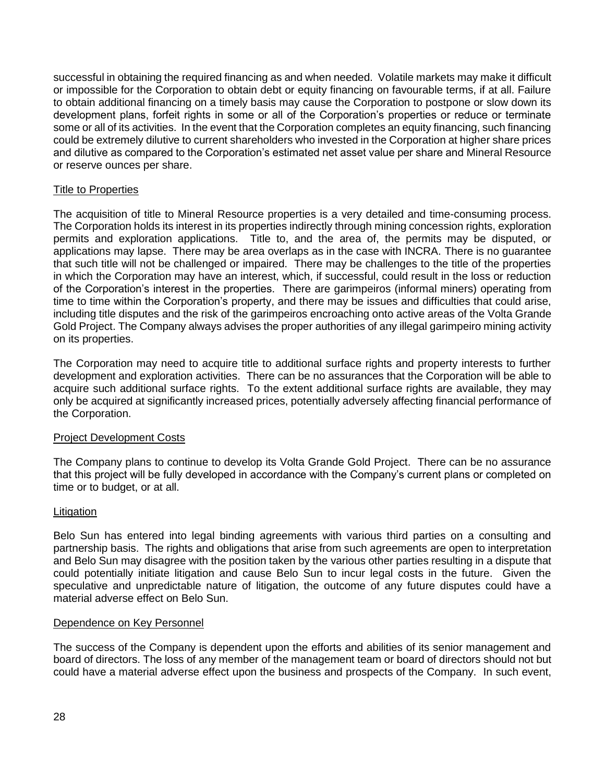successful in obtaining the required financing as and when needed. Volatile markets may make it difficult or impossible for the Corporation to obtain debt or equity financing on favourable terms, if at all. Failure to obtain additional financing on a timely basis may cause the Corporation to postpone or slow down its development plans, forfeit rights in some or all of the Corporation's properties or reduce or terminate some or all of its activities. In the event that the Corporation completes an equity financing, such financing could be extremely dilutive to current shareholders who invested in the Corporation at higher share prices and dilutive as compared to the Corporation's estimated net asset value per share and Mineral Resource or reserve ounces per share.

## Title to Properties

The acquisition of title to Mineral Resource properties is a very detailed and time-consuming process. The Corporation holds its interest in its properties indirectly through mining concession rights, exploration permits and exploration applications. Title to, and the area of, the permits may be disputed, or applications may lapse. There may be area overlaps as in the case with INCRA. There is no guarantee that such title will not be challenged or impaired. There may be challenges to the title of the properties in which the Corporation may have an interest, which, if successful, could result in the loss or reduction of the Corporation's interest in the properties. There are garimpeiros (informal miners) operating from time to time within the Corporation's property, and there may be issues and difficulties that could arise, including title disputes and the risk of the garimpeiros encroaching onto active areas of the Volta Grande Gold Project. The Company always advises the proper authorities of any illegal garimpeiro mining activity on its properties.

The Corporation may need to acquire title to additional surface rights and property interests to further development and exploration activities. There can be no assurances that the Corporation will be able to acquire such additional surface rights. To the extent additional surface rights are available, they may only be acquired at significantly increased prices, potentially adversely affecting financial performance of the Corporation.

# Project Development Costs

The Company plans to continue to develop its Volta Grande Gold Project. There can be no assurance that this project will be fully developed in accordance with the Company's current plans or completed on time or to budget, or at all.

# Litigation

Belo Sun has entered into legal binding agreements with various third parties on a consulting and partnership basis. The rights and obligations that arise from such agreements are open to interpretation and Belo Sun may disagree with the position taken by the various other parties resulting in a dispute that could potentially initiate litigation and cause Belo Sun to incur legal costs in the future. Given the speculative and unpredictable nature of litigation, the outcome of any future disputes could have a material adverse effect on Belo Sun.

#### Dependence on Key Personnel

The success of the Company is dependent upon the efforts and abilities of its senior management and board of directors. The loss of any member of the management team or board of directors should not but could have a material adverse effect upon the business and prospects of the Company. In such event,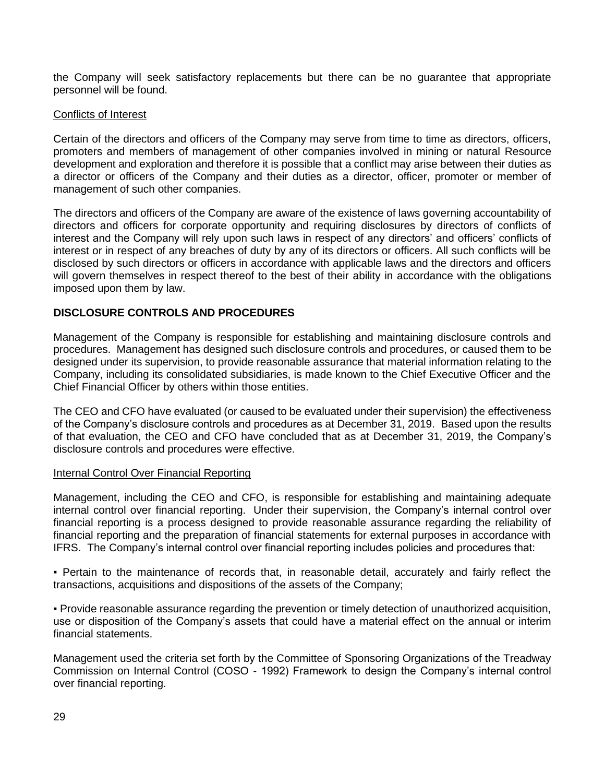the Company will seek satisfactory replacements but there can be no guarantee that appropriate personnel will be found.

### Conflicts of Interest

Certain of the directors and officers of the Company may serve from time to time as directors, officers, promoters and members of management of other companies involved in mining or natural Resource development and exploration and therefore it is possible that a conflict may arise between their duties as a director or officers of the Company and their duties as a director, officer, promoter or member of management of such other companies.

The directors and officers of the Company are aware of the existence of laws governing accountability of directors and officers for corporate opportunity and requiring disclosures by directors of conflicts of interest and the Company will rely upon such laws in respect of any directors' and officers' conflicts of interest or in respect of any breaches of duty by any of its directors or officers. All such conflicts will be disclosed by such directors or officers in accordance with applicable laws and the directors and officers will govern themselves in respect thereof to the best of their ability in accordance with the obligations imposed upon them by law.

# **DISCLOSURE CONTROLS AND PROCEDURES**

Management of the Company is responsible for establishing and maintaining disclosure controls and procedures. Management has designed such disclosure controls and procedures, or caused them to be designed under its supervision, to provide reasonable assurance that material information relating to the Company, including its consolidated subsidiaries, is made known to the Chief Executive Officer and the Chief Financial Officer by others within those entities.

The CEO and CFO have evaluated (or caused to be evaluated under their supervision) the effectiveness of the Company's disclosure controls and procedures as at December 31, 2019. Based upon the results of that evaluation, the CEO and CFO have concluded that as at December 31, 2019, the Company's disclosure controls and procedures were effective.

#### Internal Control Over Financial Reporting

Management, including the CEO and CFO, is responsible for establishing and maintaining adequate internal control over financial reporting. Under their supervision, the Company's internal control over financial reporting is a process designed to provide reasonable assurance regarding the reliability of financial reporting and the preparation of financial statements for external purposes in accordance with IFRS. The Company's internal control over financial reporting includes policies and procedures that:

▪ Pertain to the maintenance of records that, in reasonable detail, accurately and fairly reflect the transactions, acquisitions and dispositions of the assets of the Company;

▪ Provide reasonable assurance regarding the prevention or timely detection of unauthorized acquisition, use or disposition of the Company's assets that could have a material effect on the annual or interim financial statements.

Management used the criteria set forth by the Committee of Sponsoring Organizations of the Treadway Commission on Internal Control (COSO - 1992) Framework to design the Company's internal control over financial reporting.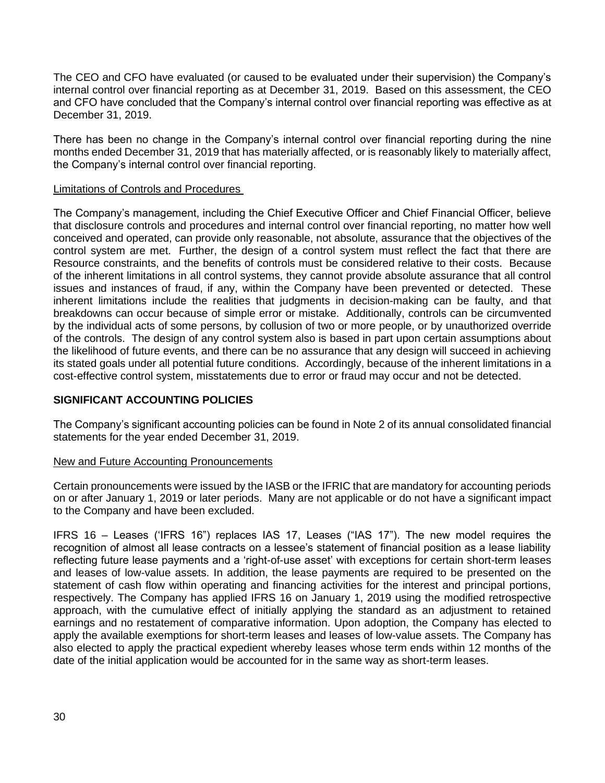The CEO and CFO have evaluated (or caused to be evaluated under their supervision) the Company's internal control over financial reporting as at December 31, 2019. Based on this assessment, the CEO and CFO have concluded that the Company's internal control over financial reporting was effective as at December 31, 2019.

There has been no change in the Company's internal control over financial reporting during the nine months ended December 31, 2019 that has materially affected, or is reasonably likely to materially affect, the Company's internal control over financial reporting.

### Limitations of Controls and Procedures

The Company's management, including the Chief Executive Officer and Chief Financial Officer, believe that disclosure controls and procedures and internal control over financial reporting, no matter how well conceived and operated, can provide only reasonable, not absolute, assurance that the objectives of the control system are met. Further, the design of a control system must reflect the fact that there are Resource constraints, and the benefits of controls must be considered relative to their costs. Because of the inherent limitations in all control systems, they cannot provide absolute assurance that all control issues and instances of fraud, if any, within the Company have been prevented or detected. These inherent limitations include the realities that judgments in decision-making can be faulty, and that breakdowns can occur because of simple error or mistake. Additionally, controls can be circumvented by the individual acts of some persons, by collusion of two or more people, or by unauthorized override of the controls. The design of any control system also is based in part upon certain assumptions about the likelihood of future events, and there can be no assurance that any design will succeed in achieving its stated goals under all potential future conditions. Accordingly, because of the inherent limitations in a cost-effective control system, misstatements due to error or fraud may occur and not be detected.

# **SIGNIFICANT ACCOUNTING POLICIES**

The Company's significant accounting policies can be found in Note 2 of its annual consolidated financial statements for the year ended December 31, 2019.

#### New and Future Accounting Pronouncements

Certain pronouncements were issued by the IASB or the IFRIC that are mandatory for accounting periods on or after January 1, 2019 or later periods. Many are not applicable or do not have a significant impact to the Company and have been excluded.

IFRS 16 – Leases ('IFRS 16") replaces IAS 17, Leases ("IAS 17"). The new model requires the recognition of almost all lease contracts on a lessee's statement of financial position as a lease liability reflecting future lease payments and a 'right-of-use asset' with exceptions for certain short-term leases and leases of low-value assets. In addition, the lease payments are required to be presented on the statement of cash flow within operating and financing activities for the interest and principal portions, respectively. The Company has applied IFRS 16 on January 1, 2019 using the modified retrospective approach, with the cumulative effect of initially applying the standard as an adjustment to retained earnings and no restatement of comparative information. Upon adoption, the Company has elected to apply the available exemptions for short-term leases and leases of low-value assets. The Company has also elected to apply the practical expedient whereby leases whose term ends within 12 months of the date of the initial application would be accounted for in the same way as short-term leases.